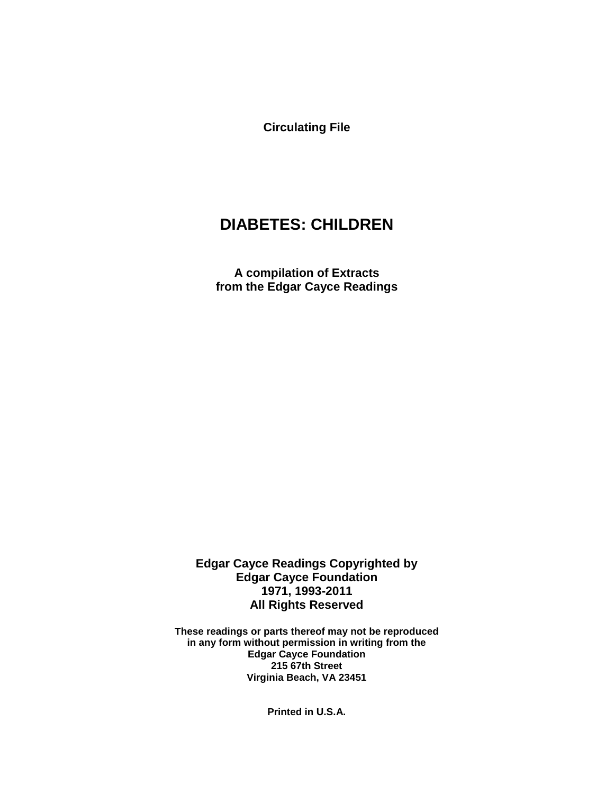**Circulating File**

# **DIABETES: CHILDREN**

**A compilation of Extracts from the Edgar Cayce Readings**

**Edgar Cayce Readings Copyrighted by Edgar Cayce Foundation 1971, 1993-2011 All Rights Reserved**

**These readings or parts thereof may not be reproduced in any form without permission in writing from the Edgar Cayce Foundation 215 67th Street Virginia Beach, VA 23451**

**Printed in U.S.A.**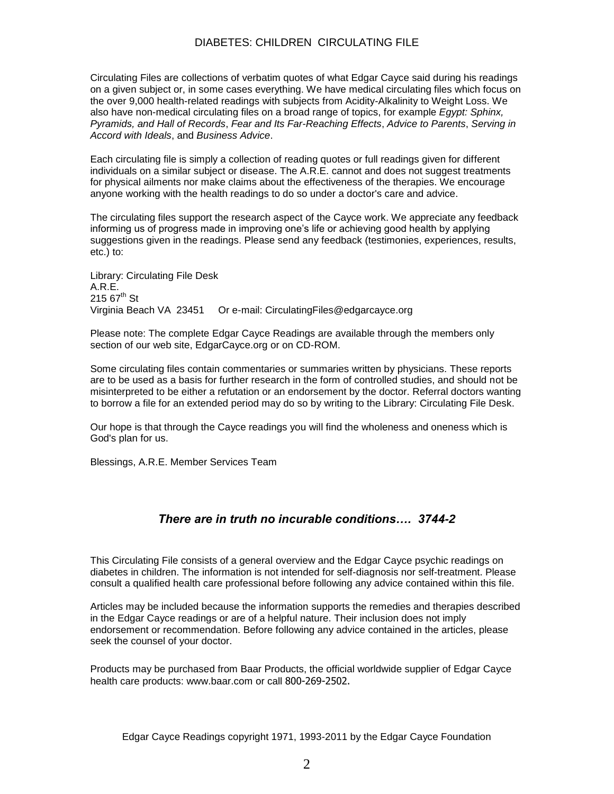#### DIABETES: CHILDREN CIRCULATING FILE

Circulating Files are collections of verbatim quotes of what Edgar Cayce said during his readings on a given subject or, in some cases everything. We have medical circulating files which focus on the over 9,000 health-related readings with subjects from Acidity-Alkalinity to Weight Loss. We also have non-medical circulating files on a broad range of topics, for example *Egypt: Sphinx, Pyramids, and Hall of Records*, *Fear and Its Far-Reaching Effects*, *Advice to Parents*, *Serving in Accord with Ideals*, and *Business Advice*.

Each circulating file is simply a collection of reading quotes or full readings given for different individuals on a similar subject or disease. The A.R.E. cannot and does not suggest treatments for physical ailments nor make claims about the effectiveness of the therapies. We encourage anyone working with the health readings to do so under a doctor's care and advice.

The circulating files support the research aspect of the Cayce work. We appreciate any feedback informing us of progress made in improving one's life or achieving good health by applying suggestions given in the readings. Please send any feedback (testimonies, experiences, results, etc.) to:

Library: Circulating File Desk A.R.E.  $21567^{\text{th}}$  St Virginia Beach VA 23451 Or e-mail: CirculatingFiles@edgarcayce.org

Please note: The complete Edgar Cayce Readings are available through the members only section of our web site, EdgarCayce.org or on CD-ROM.

Some circulating files contain commentaries or summaries written by physicians. These reports are to be used as a basis for further research in the form of controlled studies, and should not be misinterpreted to be either a refutation or an endorsement by the doctor. Referral doctors wanting to borrow a file for an extended period may do so by writing to the Library: Circulating File Desk.

Our hope is that through the Cayce readings you will find the wholeness and oneness which is God's plan for us.

Blessings, A.R.E. Member Services Team

#### *There are in truth no incurable conditions…. 3744-2*

This Circulating File consists of a general overview and the Edgar Cayce psychic readings on diabetes in children. The information is not intended for self-diagnosis nor self-treatment. Please consult a qualified health care professional before following any advice contained within this file.

Articles may be included because the information supports the remedies and therapies described in the Edgar Cayce readings or are of a helpful nature. Their inclusion does not imply endorsement or recommendation. Before following any advice contained in the articles, please seek the counsel of your doctor.

Products may be purchased from Baar Products, the official worldwide supplier of Edgar Cayce health care products: www.baar.com or call 800-269-2502.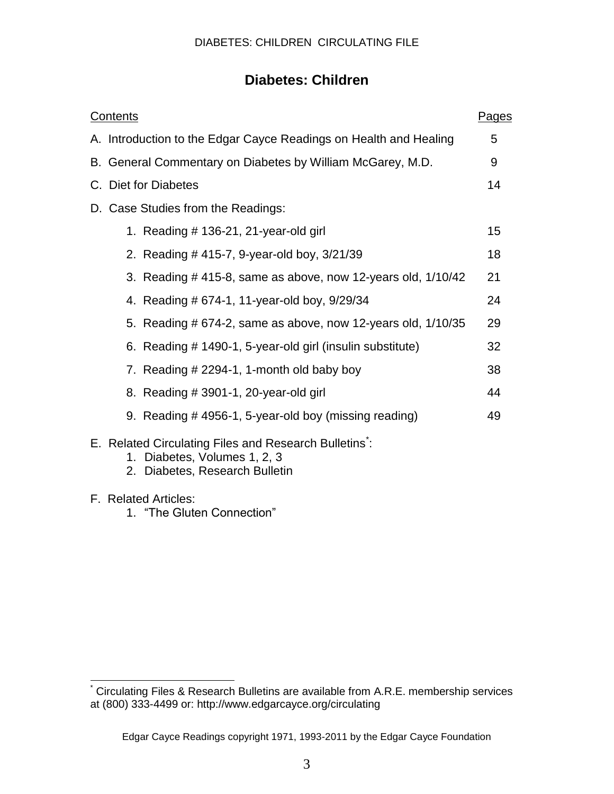# **Diabetes: Children**

| <b>Contents</b>                                                                      | <b>Pages</b> |
|--------------------------------------------------------------------------------------|--------------|
| A. Introduction to the Edgar Cayce Readings on Health and Healing                    | 5            |
| B. General Commentary on Diabetes by William McGarey, M.D.                           | 9            |
| C. Diet for Diabetes                                                                 | 14           |
| D. Case Studies from the Readings:                                                   |              |
| 1. Reading $#$ 136-21, 21-year-old girl                                              | 15           |
| 2. Reading #415-7, 9-year-old boy, 3/21/39                                           | 18           |
| 3. Reading #415-8, same as above, now 12-years old, 1/10/42                          | 21           |
| 4. Reading # 674-1, 11-year-old boy, 9/29/34                                         | 24           |
| 5. Reading # 674-2, same as above, now 12-years old, 1/10/35                         | 29           |
| 6. Reading # 1490-1, 5-year-old girl (insulin substitute)                            | 32           |
| 7. Reading # 2294-1, 1-month old baby boy                                            | 38           |
| 8. Reading # 3901-1, 20-year-old girl                                                | 44           |
| 9. Reading #4956-1, 5-year-old boy (missing reading)                                 | 49           |
| E. Related Circulating Files and Research Bulletins:<br>1. Diabetes, Volumes 1, 2, 3 |              |

- 2. Diabetes, Research Bulletin
- F. Related Articles:

l

1. "The Gluten Connection"

<sup>\*</sup> Circulating Files & Research Bulletins are available from A.R.E. membership services at (800) 333-4499 or: http://www.edgarcayce.org/circulating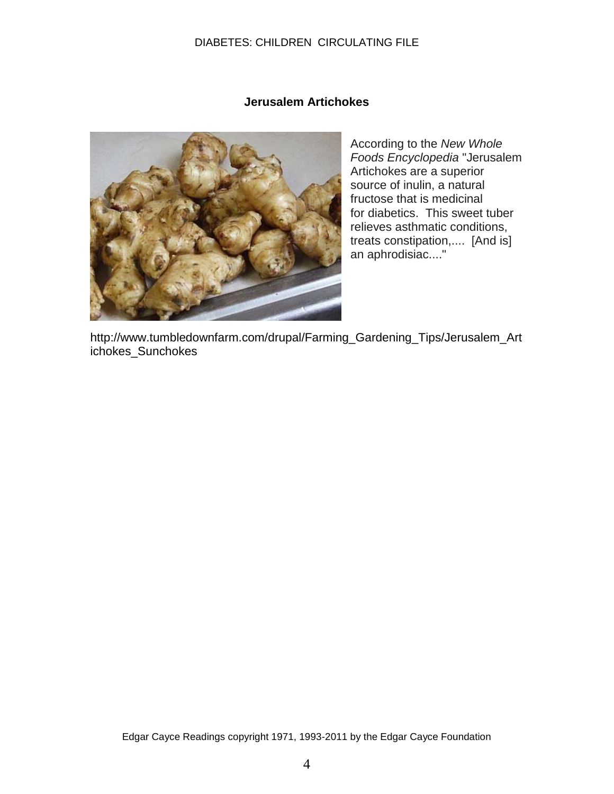#### DIABETES: CHILDREN CIRCULATING FILE

#### **Jerusalem Artichokes**



According to the *New Whole Foods Encyclopedia* "Jerusalem Artichokes are a superior source of inulin, a natural fructose that is medicinal for diabetics. This sweet tuber relieves asthmatic conditions, treats constipation,.... [And is] an aphrodisiac...."

http://www.tumbledownfarm.com/drupal/Farming\_Gardening\_Tips/Jerusalem\_Art ichokes\_Sunchokes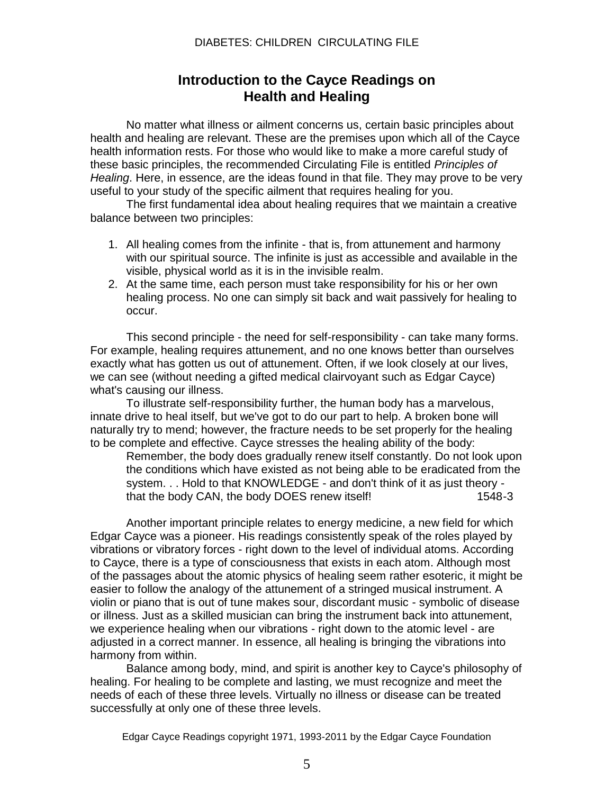#### DIABETES: CHILDREN CIRCULATING FILE

# **Introduction to the Cayce Readings on Health and Healing**

No matter what illness or ailment concerns us, certain basic principles about health and healing are relevant. These are the premises upon which all of the Cayce health information rests. For those who would like to make a more careful study of these basic principles, the recommended Circulating File is entitled *Principles of Healing*. Here, in essence, are the ideas found in that file. They may prove to be very useful to your study of the specific ailment that requires healing for you.

The first fundamental idea about healing requires that we maintain a creative balance between two principles:

- 1. All healing comes from the infinite that is, from attunement and harmony with our spiritual source. The infinite is just as accessible and available in the visible, physical world as it is in the invisible realm.
- 2. At the same time, each person must take responsibility for his or her own healing process. No one can simply sit back and wait passively for healing to occur.

This second principle - the need for self-responsibility - can take many forms. For example, healing requires attunement, and no one knows better than ourselves exactly what has gotten us out of attunement. Often, if we look closely at our lives, we can see (without needing a gifted medical clairvoyant such as Edgar Cayce) what's causing our illness.

To illustrate self-responsibility further, the human body has a marvelous, innate drive to heal itself, but we've got to do our part to help. A broken bone will naturally try to mend; however, the fracture needs to be set properly for the healing to be complete and effective. Cayce stresses the healing ability of the body:

Remember, the body does gradually renew itself constantly. Do not look upon the conditions which have existed as not being able to be eradicated from the system. . . Hold to that KNOWLEDGE - and don't think of it as just theory that the body CAN, the body DOES renew itself! 1548-3

Another important principle relates to energy medicine, a new field for which Edgar Cayce was a pioneer. His readings consistently speak of the roles played by vibrations or vibratory forces - right down to the level of individual atoms. According to Cayce, there is a type of consciousness that exists in each atom. Although most of the passages about the atomic physics of healing seem rather esoteric, it might be easier to follow the analogy of the attunement of a stringed musical instrument. A violin or piano that is out of tune makes sour, discordant music - symbolic of disease or illness. Just as a skilled musician can bring the instrument back into attunement, we experience healing when our vibrations - right down to the atomic level - are adjusted in a correct manner. In essence, all healing is bringing the vibrations into harmony from within.

Balance among body, mind, and spirit is another key to Cayce's philosophy of healing. For healing to be complete and lasting, we must recognize and meet the needs of each of these three levels. Virtually no illness or disease can be treated successfully at only one of these three levels.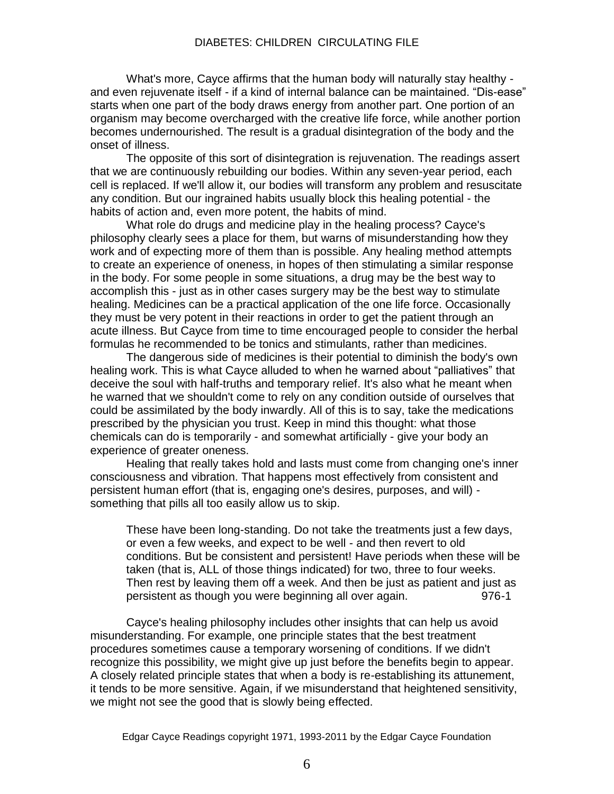What's more, Cayce affirms that the human body will naturally stay healthy and even rejuvenate itself - if a kind of internal balance can be maintained. "Dis-ease" starts when one part of the body draws energy from another part. One portion of an organism may become overcharged with the creative life force, while another portion becomes undernourished. The result is a gradual disintegration of the body and the onset of illness.

The opposite of this sort of disintegration is rejuvenation. The readings assert that we are continuously rebuilding our bodies. Within any seven-year period, each cell is replaced. If we'll allow it, our bodies will transform any problem and resuscitate any condition. But our ingrained habits usually block this healing potential - the habits of action and, even more potent, the habits of mind.

What role do drugs and medicine play in the healing process? Cayce's philosophy clearly sees a place for them, but warns of misunderstanding how they work and of expecting more of them than is possible. Any healing method attempts to create an experience of oneness, in hopes of then stimulating a similar response in the body. For some people in some situations, a drug may be the best way to accomplish this - just as in other cases surgery may be the best way to stimulate healing. Medicines can be a practical application of the one life force. Occasionally they must be very potent in their reactions in order to get the patient through an acute illness. But Cayce from time to time encouraged people to consider the herbal formulas he recommended to be tonics and stimulants, rather than medicines.

The dangerous side of medicines is their potential to diminish the body's own healing work. This is what Cayce alluded to when he warned about "palliatives" that deceive the soul with half-truths and temporary relief. It's also what he meant when he warned that we shouldn't come to rely on any condition outside of ourselves that could be assimilated by the body inwardly. All of this is to say, take the medications prescribed by the physician you trust. Keep in mind this thought: what those chemicals can do is temporarily - and somewhat artificially - give your body an experience of greater oneness.

Healing that really takes hold and lasts must come from changing one's inner consciousness and vibration. That happens most effectively from consistent and persistent human effort (that is, engaging one's desires, purposes, and will) something that pills all too easily allow us to skip.

These have been long-standing. Do not take the treatments just a few days, or even a few weeks, and expect to be well - and then revert to old conditions. But be consistent and persistent! Have periods when these will be taken (that is, ALL of those things indicated) for two, three to four weeks. Then rest by leaving them off a week. And then be just as patient and just as persistent as though you were beginning all over again. 976-1

Cayce's healing philosophy includes other insights that can help us avoid misunderstanding. For example, one principle states that the best treatment procedures sometimes cause a temporary worsening of conditions. If we didn't recognize this possibility, we might give up just before the benefits begin to appear. A closely related principle states that when a body is re-establishing its attunement, it tends to be more sensitive. Again, if we misunderstand that heightened sensitivity, we might not see the good that is slowly being effected.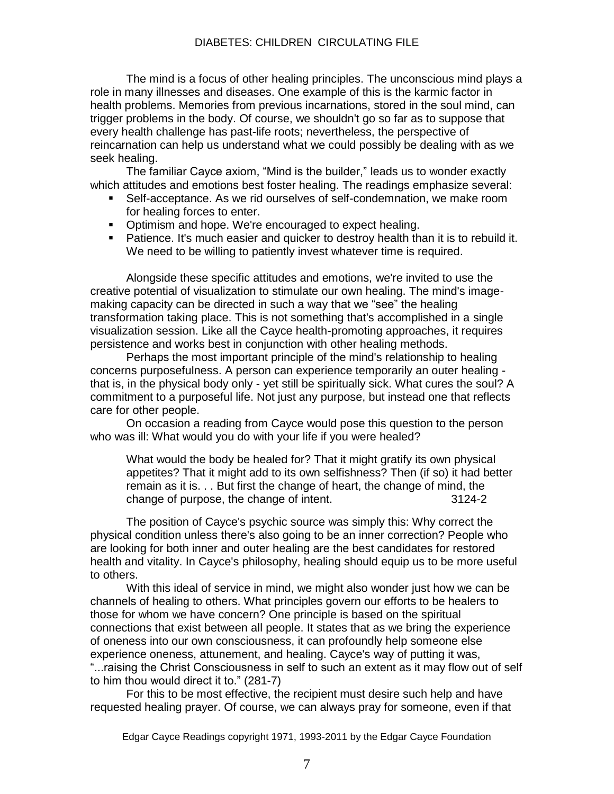#### DIABETES: CHILDREN CIRCULATING FILE

The mind is a focus of other healing principles. The unconscious mind plays a role in many illnesses and diseases. One example of this is the karmic factor in health problems. Memories from previous incarnations, stored in the soul mind, can trigger problems in the body. Of course, we shouldn't go so far as to suppose that every health challenge has past-life roots; nevertheless, the perspective of reincarnation can help us understand what we could possibly be dealing with as we seek healing.

The familiar Cayce axiom, "Mind is the builder," leads us to wonder exactly which attitudes and emotions best foster healing. The readings emphasize several:

- Self-acceptance. As we rid ourselves of self-condemnation, we make room for healing forces to enter.
- Optimism and hope. We're encouraged to expect healing.
- **Patience. It's much easier and quicker to destroy health than it is to rebuild it.** We need to be willing to patiently invest whatever time is required.

Alongside these specific attitudes and emotions, we're invited to use the creative potential of visualization to stimulate our own healing. The mind's imagemaking capacity can be directed in such a way that we "see" the healing transformation taking place. This is not something that's accomplished in a single visualization session. Like all the Cayce health-promoting approaches, it requires persistence and works best in conjunction with other healing methods.

Perhaps the most important principle of the mind's relationship to healing concerns purposefulness. A person can experience temporarily an outer healing that is, in the physical body only - yet still be spiritually sick. What cures the soul? A commitment to a purposeful life. Not just any purpose, but instead one that reflects care for other people.

On occasion a reading from Cayce would pose this question to the person who was ill: What would you do with your life if you were healed?

What would the body be healed for? That it might gratify its own physical appetites? That it might add to its own selfishness? Then (if so) it had better remain as it is. . . But first the change of heart, the change of mind, the change of purpose, the change of intent. 3124-2

The position of Cayce's psychic source was simply this: Why correct the physical condition unless there's also going to be an inner correction? People who are looking for both inner and outer healing are the best candidates for restored health and vitality. In Cayce's philosophy, healing should equip us to be more useful to others.

With this ideal of service in mind, we might also wonder just how we can be channels of healing to others. What principles govern our efforts to be healers to those for whom we have concern? One principle is based on the spiritual connections that exist between all people. It states that as we bring the experience of oneness into our own consciousness, it can profoundly help someone else experience oneness, attunement, and healing. Cayce's way of putting it was, "...raising the Christ Consciousness in self to such an extent as it may flow out of self to him thou would direct it to." (281-7)

For this to be most effective, the recipient must desire such help and have requested healing prayer. Of course, we can always pray for someone, even if that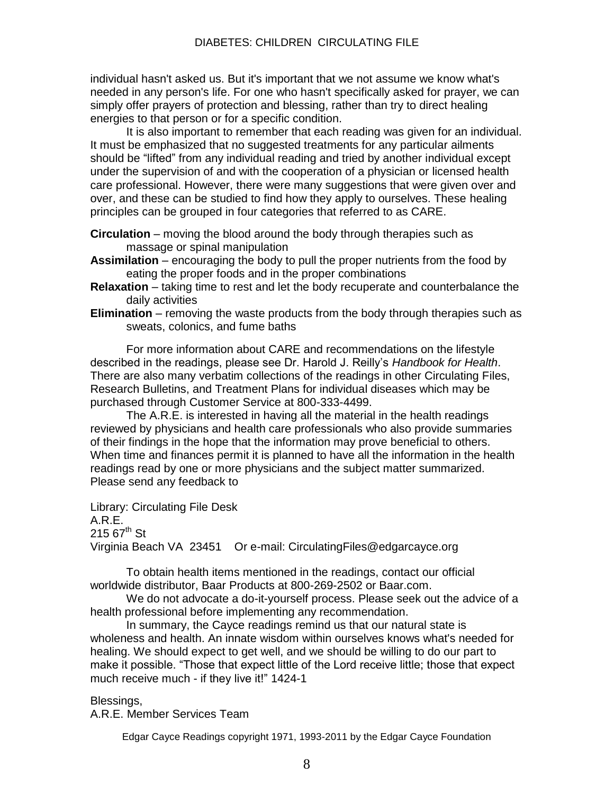individual hasn't asked us. But it's important that we not assume we know what's needed in any person's life. For one who hasn't specifically asked for prayer, we can simply offer prayers of protection and blessing, rather than try to direct healing energies to that person or for a specific condition.

It is also important to remember that each reading was given for an individual. It must be emphasized that no suggested treatments for any particular ailments should be "lifted" from any individual reading and tried by another individual except under the supervision of and with the cooperation of a physician or licensed health care professional. However, there were many suggestions that were given over and over, and these can be studied to find how they apply to ourselves. These healing principles can be grouped in four categories that referred to as CARE.

- **Circulation** moving the blood around the body through therapies such as massage or spinal manipulation
- **Assimilation** encouraging the body to pull the proper nutrients from the food by eating the proper foods and in the proper combinations
- **Relaxation** taking time to rest and let the body recuperate and counterbalance the daily activities
- **Elimination** removing the waste products from the body through therapies such as sweats, colonics, and fume baths

For more information about CARE and recommendations on the lifestyle described in the readings, please see Dr. Harold J. Reilly's *Handbook for Health*. There are also many verbatim collections of the readings in other Circulating Files, Research Bulletins, and Treatment Plans for individual diseases which may be purchased through Customer Service at 800-333-4499.

The A.R.E. is interested in having all the material in the health readings reviewed by physicians and health care professionals who also provide summaries of their findings in the hope that the information may prove beneficial to others. When time and finances permit it is planned to have all the information in the health readings read by one or more physicians and the subject matter summarized. Please send any feedback to

Library: Circulating File Desk A.R.E.  $21567^{th}$  St Virginia Beach VA 23451 Or e-mail: CirculatingFiles@edgarcayce.org

To obtain health items mentioned in the readings, contact our official worldwide distributor, Baar Products at 800-269-2502 or Baar.com.

We do not advocate a do-it-yourself process. Please seek out the advice of a health professional before implementing any recommendation.

In summary, the Cayce readings remind us that our natural state is wholeness and health. An innate wisdom within ourselves knows what's needed for healing. We should expect to get well, and we should be willing to do our part to make it possible. "Those that expect little of the Lord receive little; those that expect much receive much - if they live it!" 1424-1

Blessings,

A.R.E. Member Services Team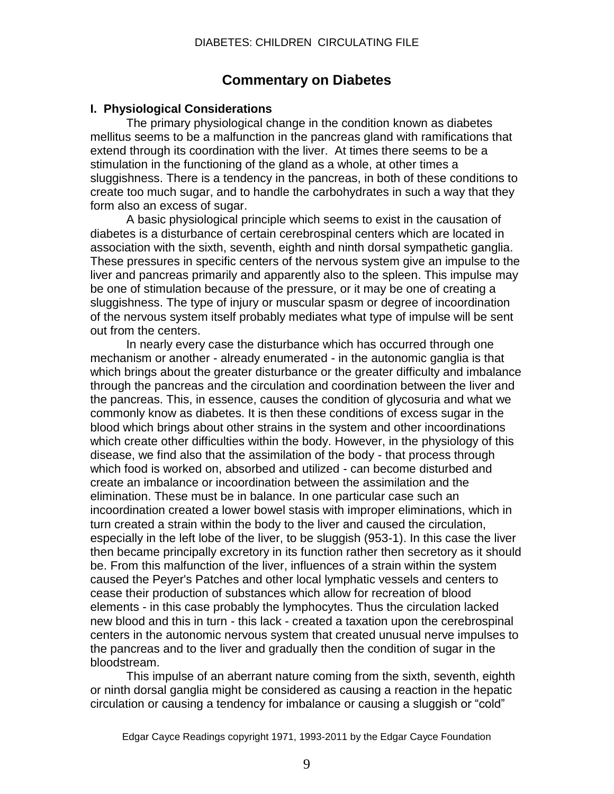# **Commentary on Diabetes**

## **I. Physiological Considerations**

The primary physiological change in the condition known as diabetes mellitus seems to be a malfunction in the pancreas gland with ramifications that extend through its coordination with the liver. At times there seems to be a stimulation in the functioning of the gland as a whole, at other times a sluggishness. There is a tendency in the pancreas, in both of these conditions to create too much sugar, and to handle the carbohydrates in such a way that they form also an excess of sugar.

A basic physiological principle which seems to exist in the causation of diabetes is a disturbance of certain cerebrospinal centers which are located in association with the sixth, seventh, eighth and ninth dorsal sympathetic ganglia. These pressures in specific centers of the nervous system give an impulse to the liver and pancreas primarily and apparently also to the spleen. This impulse may be one of stimulation because of the pressure, or it may be one of creating a sluggishness. The type of injury or muscular spasm or degree of incoordination of the nervous system itself probably mediates what type of impulse will be sent out from the centers.

In nearly every case the disturbance which has occurred through one mechanism or another - already enumerated - in the autonomic ganglia is that which brings about the greater disturbance or the greater difficulty and imbalance through the pancreas and the circulation and coordination between the liver and the pancreas. This, in essence, causes the condition of glycosuria and what we commonly know as diabetes. It is then these conditions of excess sugar in the blood which brings about other strains in the system and other incoordinations which create other difficulties within the body. However, in the physiology of this disease, we find also that the assimilation of the body - that process through which food is worked on, absorbed and utilized - can become disturbed and create an imbalance or incoordination between the assimilation and the elimination. These must be in balance. In one particular case such an incoordination created a lower bowel stasis with improper eliminations, which in turn created a strain within the body to the liver and caused the circulation, especially in the left lobe of the liver, to be sluggish (953-1). In this case the liver then became principally excretory in its function rather then secretory as it should be. From this malfunction of the liver, influences of a strain within the system caused the Peyer's Patches and other local lymphatic vessels and centers to cease their production of substances which allow for recreation of blood elements - in this case probably the lymphocytes. Thus the circulation lacked new blood and this in turn - this lack - created a taxation upon the cerebrospinal centers in the autonomic nervous system that created unusual nerve impulses to the pancreas and to the liver and gradually then the condition of sugar in the bloodstream.

This impulse of an aberrant nature coming from the sixth, seventh, eighth or ninth dorsal ganglia might be considered as causing a reaction in the hepatic circulation or causing a tendency for imbalance or causing a sluggish or "cold"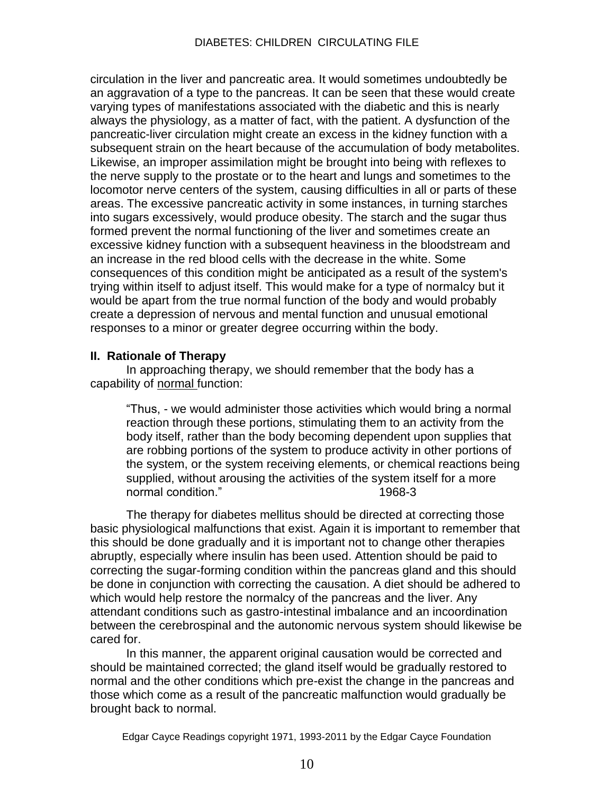circulation in the liver and pancreatic area. It would sometimes undoubtedly be an aggravation of a type to the pancreas. It can be seen that these would create varying types of manifestations associated with the diabetic and this is nearly always the physiology, as a matter of fact, with the patient. A dysfunction of the pancreatic-liver circulation might create an excess in the kidney function with a subsequent strain on the heart because of the accumulation of body metabolites. Likewise, an improper assimilation might be brought into being with reflexes to the nerve supply to the prostate or to the heart and lungs and sometimes to the locomotor nerve centers of the system, causing difficulties in all or parts of these areas. The excessive pancreatic activity in some instances, in turning starches into sugars excessively, would produce obesity. The starch and the sugar thus formed prevent the normal functioning of the liver and sometimes create an excessive kidney function with a subsequent heaviness in the bloodstream and an increase in the red blood cells with the decrease in the white. Some consequences of this condition might be anticipated as a result of the system's trying within itself to adjust itself. This would make for a type of normalcy but it would be apart from the true normal function of the body and would probably create a depression of nervous and mental function and unusual emotional responses to a minor or greater degree occurring within the body.

## **II. Rationale of Therapy**

In approaching therapy, we should remember that the body has a capability of normal function:

―Thus, - we would administer those activities which would bring a normal reaction through these portions, stimulating them to an activity from the body itself, rather than the body becoming dependent upon supplies that are robbing portions of the system to produce activity in other portions of the system, or the system receiving elements, or chemical reactions being supplied, without arousing the activities of the system itself for a more normal condition." 
and the same state of the 1968-3

The therapy for diabetes mellitus should be directed at correcting those basic physiological malfunctions that exist. Again it is important to remember that this should be done gradually and it is important not to change other therapies abruptly, especially where insulin has been used. Attention should be paid to correcting the sugar-forming condition within the pancreas gland and this should be done in conjunction with correcting the causation. A diet should be adhered to which would help restore the normalcy of the pancreas and the liver. Any attendant conditions such as gastro-intestinal imbalance and an incoordination between the cerebrospinal and the autonomic nervous system should likewise be cared for.

In this manner, the apparent original causation would be corrected and should be maintained corrected; the gland itself would be gradually restored to normal and the other conditions which pre-exist the change in the pancreas and those which come as a result of the pancreatic malfunction would gradually be brought back to normal.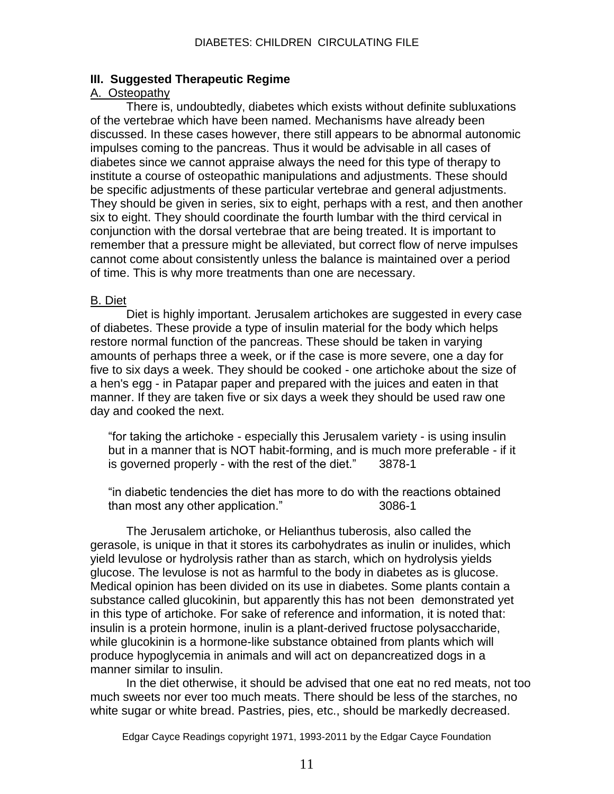#### **III. Suggested Therapeutic Regime**

#### A. Osteopathy

There is, undoubtedly, diabetes which exists without definite subluxations of the vertebrae which have been named. Mechanisms have already been discussed. In these cases however, there still appears to be abnormal autonomic impulses coming to the pancreas. Thus it would be advisable in all cases of diabetes since we cannot appraise always the need for this type of therapy to institute a course of osteopathic manipulations and adjustments. These should be specific adjustments of these particular vertebrae and general adjustments. They should be given in series, six to eight, perhaps with a rest, and then another six to eight. They should coordinate the fourth lumbar with the third cervical in conjunction with the dorsal vertebrae that are being treated. It is important to remember that a pressure might be alleviated, but correct flow of nerve impulses cannot come about consistently unless the balance is maintained over a period of time. This is why more treatments than one are necessary.

#### B. Diet

Diet is highly important. Jerusalem artichokes are suggested in every case of diabetes. These provide a type of insulin material for the body which helps restore normal function of the pancreas. These should be taken in varying amounts of perhaps three a week, or if the case is more severe, one a day for five to six days a week. They should be cooked - one artichoke about the size of a hen's egg - in Patapar paper and prepared with the juices and eaten in that manner. If they are taken five or six days a week they should be used raw one day and cooked the next.

―for taking the artichoke - especially this Jerusalem variety - is using insulin but in a manner that is NOT habit-forming, and is much more preferable - if it is governed properly - with the rest of the diet." 3878-1

―in diabetic tendencies the diet has more to do with the reactions obtained than most any other application." 3086-1

The Jerusalem artichoke, or Helianthus tuberosis, also called the gerasole, is unique in that it stores its carbohydrates as inulin or inulides, which yield levulose or hydrolysis rather than as starch, which on hydrolysis yields glucose. The levulose is not as harmful to the body in diabetes as is glucose. Medical opinion has been divided on its use in diabetes. Some plants contain a substance called glucokinin, but apparently this has not been demonstrated yet in this type of artichoke. For sake of reference and information, it is noted that: insulin is a protein hormone, inulin is a plant-derived fructose polysaccharide, while glucokinin is a hormone-like substance obtained from plants which will produce hypoglycemia in animals and will act on depancreatized dogs in a manner similar to insulin.

In the diet otherwise, it should be advised that one eat no red meats, not too much sweets nor ever too much meats. There should be less of the starches, no white sugar or white bread. Pastries, pies, etc., should be markedly decreased.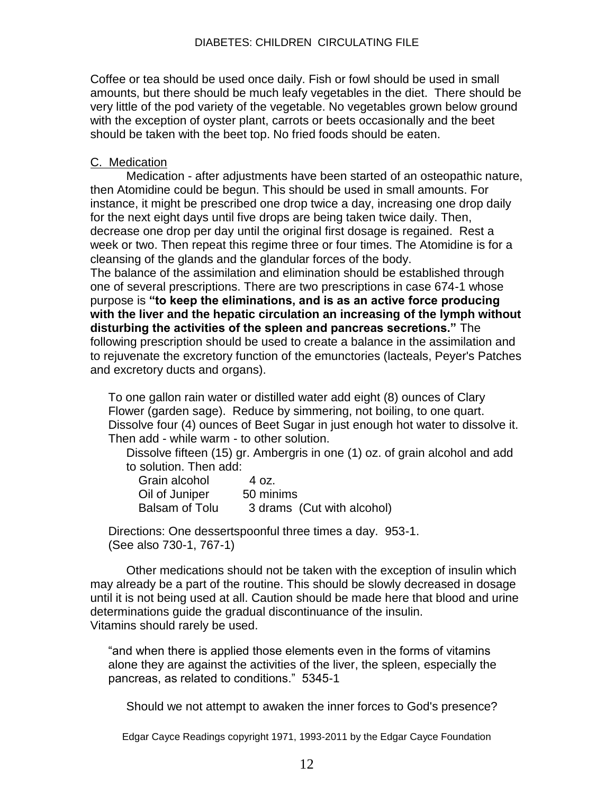Coffee or tea should be used once daily. Fish or fowl should be used in small amounts, but there should be much leafy vegetables in the diet. There should be very little of the pod variety of the vegetable. No vegetables grown below ground with the exception of oyster plant, carrots or beets occasionally and the beet should be taken with the beet top. No fried foods should be eaten.

#### C. Medication

Medication - after adjustments have been started of an osteopathic nature, then Atomidine could be begun. This should be used in small amounts. For instance, it might be prescribed one drop twice a day, increasing one drop daily for the next eight days until five drops are being taken twice daily. Then, decrease one drop per day until the original first dosage is regained. Rest a week or two. Then repeat this regime three or four times. The Atomidine is for a cleansing of the glands and the glandular forces of the body. The balance of the assimilation and elimination should be established through one of several prescriptions. There are two prescriptions in case 674-1 whose purpose is **"to keep the eliminations, and is as an active force producing** 

**with the liver and the hepatic circulation an increasing of the lymph without disturbing the activities of the spleen and pancreas secretions."** The following prescription should be used to create a balance in the assimilation and to rejuvenate the excretory function of the emunctories (lacteals, Peyer's Patches and excretory ducts and organs).

To one gallon rain water or distilled water add eight (8) ounces of Clary Flower (garden sage). Reduce by simmering, not boiling, to one quart. Dissolve four (4) ounces of Beet Sugar in just enough hot water to dissolve it. Then add - while warm - to other solution.

Dissolve fifteen (15) gr. Ambergris in one (1) oz. of grain alcohol and add to solution. Then add:

| Grain alcohol  | 4 oz.                      |
|----------------|----------------------------|
| Oil of Juniper | 50 minims                  |
| Balsam of Tolu | 3 drams (Cut with alcohol) |

Directions: One dessertspoonful three times a day. 953-1. (See also 730-1, 767-1)

Other medications should not be taken with the exception of insulin which may already be a part of the routine. This should be slowly decreased in dosage until it is not being used at all. Caution should be made here that blood and urine determinations guide the gradual discontinuance of the insulin. Vitamins should rarely be used.

"and when there is applied those elements even in the forms of vitamins alone they are against the activities of the liver, the spleen, especially the pancreas, as related to conditions.‖ 5345-1

Should we not attempt to awaken the inner forces to God's presence?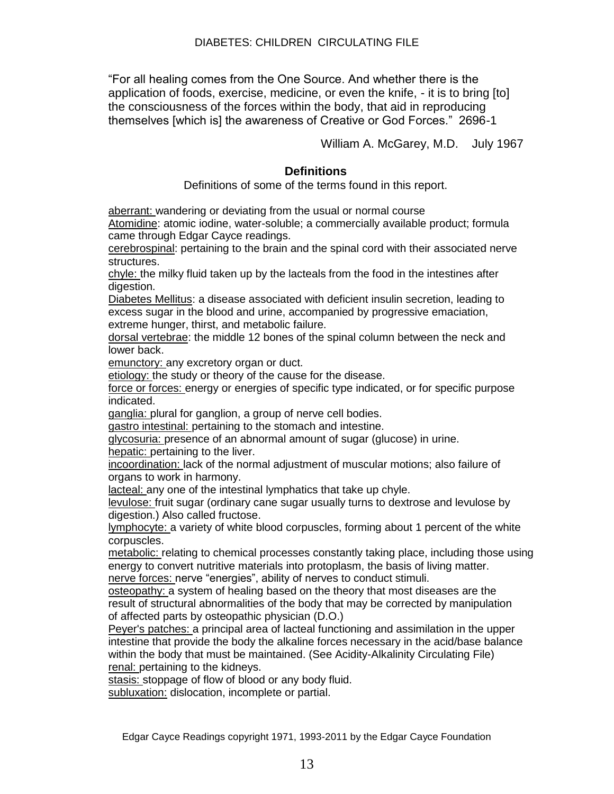―For all healing comes from the One Source. And whether there is the application of foods, exercise, medicine, or even the knife, - it is to bring [to] the consciousness of the forces within the body, that aid in reproducing themselves [which is] the awareness of Creative or God Forces.‖ 2696-1

William A. McGarey, M.D. July 1967

## **Definitions**

Definitions of some of the terms found in this report.

aberrant: wandering or deviating from the usual or normal course

Atomidine: atomic iodine, water-soluble; a commercially available product; formula came through Edgar Cayce readings.

cerebrospinal: pertaining to the brain and the spinal cord with their associated nerve structures.

chyle: the milky fluid taken up by the lacteals from the food in the intestines after digestion.

Diabetes Mellitus: a disease associated with deficient insulin secretion, leading to excess sugar in the blood and urine, accompanied by progressive emaciation, extreme hunger, thirst, and metabolic failure.

dorsal vertebrae: the middle 12 bones of the spinal column between the neck and lower back.

emunctory: any excretory organ or duct.

etiology: the study or theory of the cause for the disease.

force or forces: energy or energies of specific type indicated, or for specific purpose indicated.

ganglia: plural for ganglion, a group of nerve cell bodies.

gastro intestinal: pertaining to the stomach and intestine.

glycosuria: presence of an abnormal amount of sugar (glucose) in urine. hepatic: pertaining to the liver.

incoordination: lack of the normal adjustment of muscular motions; also failure of organs to work in harmony.

lacteal: any one of the intestinal lymphatics that take up chyle.

levulose: fruit sugar (ordinary cane sugar usually turns to dextrose and levulose by digestion.) Also called fructose.

lymphocyte: a variety of white blood corpuscles, forming about 1 percent of the white corpuscles.

metabolic: relating to chemical processes constantly taking place, including those using energy to convert nutritive materials into protoplasm, the basis of living matter. nerve forces: nerve "energies", ability of nerves to conduct stimuli.

osteopathy: a system of healing based on the theory that most diseases are the result of structural abnormalities of the body that may be corrected by manipulation of affected parts by osteopathic physician (D.O.)

Peyer's patches: a principal area of lacteal functioning and assimilation in the upper intestine that provide the body the alkaline forces necessary in the acid/base balance within the body that must be maintained. (See Acidity-Alkalinity Circulating File) renal: pertaining to the kidneys.

stasis: stoppage of flow of blood or any body fluid.

subluxation: dislocation, incomplete or partial.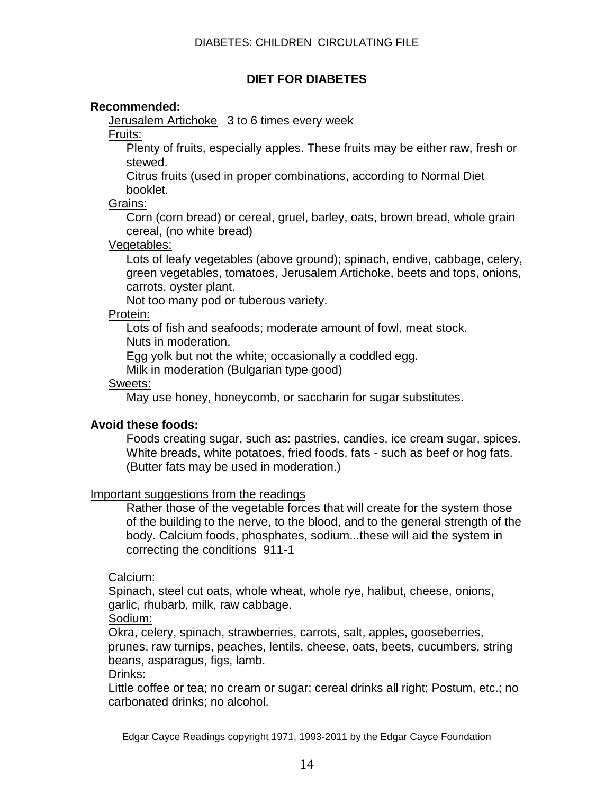# **DIET FOR DIABETES**

## **Recommended:**

Jerusalem Artichoke 3 to 6 times every week

Fruits:

Plenty of fruits, especially apples. These fruits may be either raw, fresh or stewed.

Citrus fruits (used in proper combinations, according to Normal Diet booklet.

Grains:

Corn (corn bread) or cereal, gruel, barley, oats, brown bread, whole grain cereal, (no white bread)

#### Vegetables:

Lots of leafy vegetables (above ground); spinach, endive, cabbage, celery, green vegetables, tomatoes, Jerusalem Artichoke, beets and tops, onions, carrots, oyster plant.

Not too many pod or tuberous variety.

## Protein:

Lots of fish and seafoods; moderate amount of fowl, meat stock. Nuts in moderation.

Egg yolk but not the white; occasionally a coddled egg.

Milk in moderation (Bulgarian type good)

## Sweets:

May use honey, honeycomb, or saccharin for sugar substitutes.

# **Avoid these foods:**

Foods creating sugar, such as: pastries, candies, ice cream sugar, spices. White breads, white potatoes, fried foods, fats - such as beef or hog fats. (Butter fats may be used in moderation.)

#### Important suggestions from the readings

Rather those of the vegetable forces that will create for the system those of the building to the nerve, to the blood, and to the general strength of the body. Calcium foods, phosphates, sodium...these will aid the system in correcting the conditions 911-1

# Calcium:

Spinach, steel cut oats, whole wheat, whole rye, halibut, cheese, onions, garlic, rhubarb, milk, raw cabbage.

Sodium:

Okra, celery, spinach, strawberries, carrots, salt, apples, gooseberries, prunes, raw turnips, peaches, lentils, cheese, oats, beets, cucumbers, string beans, asparagus, figs, lamb.

Drinks:

Little coffee or tea; no cream or sugar; cereal drinks all right; Postum, etc.; no carbonated drinks; no alcohol.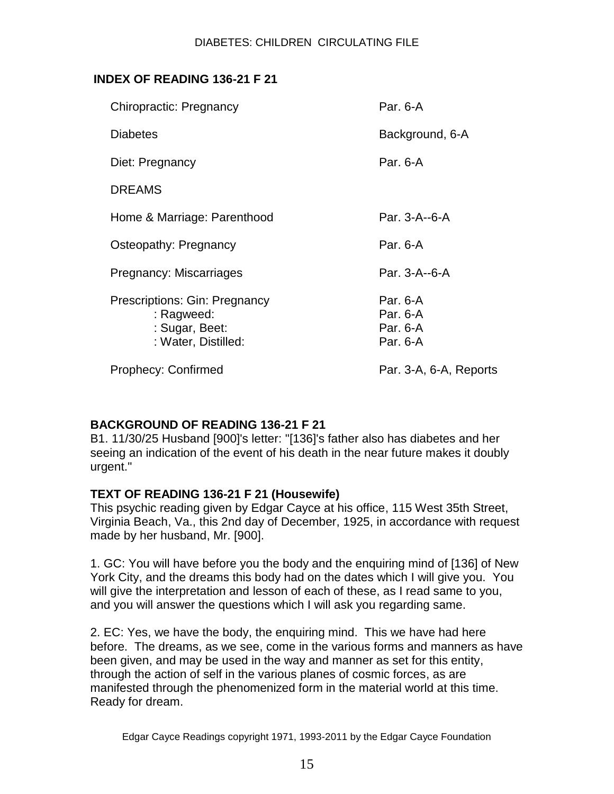# **INDEX OF READING 136-21 F 21**

| <b>Chiropractic: Pregnancy</b>                                                       | Par. 6-A                                     |
|--------------------------------------------------------------------------------------|----------------------------------------------|
| <b>Diabetes</b>                                                                      | Background, 6-A                              |
| Diet: Pregnancy                                                                      | Par. 6-A                                     |
| <b>DREAMS</b>                                                                        |                                              |
| Home & Marriage: Parenthood                                                          | Par. 3-A--6-A                                |
| Osteopathy: Pregnancy                                                                | Par. 6-A                                     |
| Pregnancy: Miscarriages                                                              | Par. 3-A--6-A                                |
| Prescriptions: Gin: Pregnancy<br>: Ragweed:<br>: Sugar, Beet:<br>: Water, Distilled: | Par. 6-A<br>Par. 6-A<br>Par. 6-A<br>Par. 6-A |
| <b>Prophecy: Confirmed</b>                                                           | Par. 3-A, 6-A, Reports                       |

# **BACKGROUND OF READING 136-21 F 21**

B1. 11/30/25 Husband [900]'s letter: "[136]'s father also has diabetes and her seeing an indication of the event of his death in the near future makes it doubly urgent."

# **TEXT OF READING 136-21 F 21 (Housewife)**

This psychic reading given by Edgar Cayce at his office, 115 West 35th Street, Virginia Beach, Va., this 2nd day of December, 1925, in accordance with request made by her husband, Mr. [900].

1. GC: You will have before you the body and the enquiring mind of [136] of New York City, and the dreams this body had on the dates which I will give you. You will give the interpretation and lesson of each of these, as I read same to you, and you will answer the questions which I will ask you regarding same.

2. EC: Yes, we have the body, the enquiring mind. This we have had here before. The dreams, as we see, come in the various forms and manners as have been given, and may be used in the way and manner as set for this entity, through the action of self in the various planes of cosmic forces, as are manifested through the phenomenized form in the material world at this time. Ready for dream.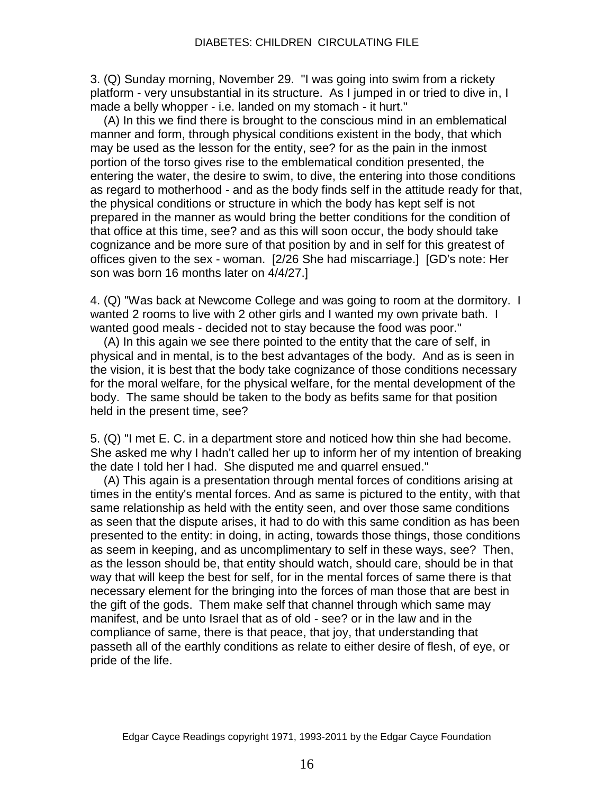3. (Q) Sunday morning, November 29. "I was going into swim from a rickety platform - very unsubstantial in its structure. As I jumped in or tried to dive in, I made a belly whopper - i.e. landed on my stomach - it hurt."

 (A) In this we find there is brought to the conscious mind in an emblematical manner and form, through physical conditions existent in the body, that which may be used as the lesson for the entity, see? for as the pain in the inmost portion of the torso gives rise to the emblematical condition presented, the entering the water, the desire to swim, to dive, the entering into those conditions as regard to motherhood - and as the body finds self in the attitude ready for that, the physical conditions or structure in which the body has kept self is not prepared in the manner as would bring the better conditions for the condition of that office at this time, see? and as this will soon occur, the body should take cognizance and be more sure of that position by and in self for this greatest of offices given to the sex - woman. [2/26 She had miscarriage.] [GD's note: Her son was born 16 months later on 4/4/27.]

4. (Q) "Was back at Newcome College and was going to room at the dormitory. I wanted 2 rooms to live with 2 other girls and I wanted my own private bath. I wanted good meals - decided not to stay because the food was poor."

 (A) In this again we see there pointed to the entity that the care of self, in physical and in mental, is to the best advantages of the body. And as is seen in the vision, it is best that the body take cognizance of those conditions necessary for the moral welfare, for the physical welfare, for the mental development of the body. The same should be taken to the body as befits same for that position held in the present time, see?

5. (Q) "I met E. C. in a department store and noticed how thin she had become. She asked me why I hadn't called her up to inform her of my intention of breaking the date I told her I had. She disputed me and quarrel ensued."

 (A) This again is a presentation through mental forces of conditions arising at times in the entity's mental forces. And as same is pictured to the entity, with that same relationship as held with the entity seen, and over those same conditions as seen that the dispute arises, it had to do with this same condition as has been presented to the entity: in doing, in acting, towards those things, those conditions as seem in keeping, and as uncomplimentary to self in these ways, see? Then, as the lesson should be, that entity should watch, should care, should be in that way that will keep the best for self, for in the mental forces of same there is that necessary element for the bringing into the forces of man those that are best in the gift of the gods. Them make self that channel through which same may manifest, and be unto Israel that as of old - see? or in the law and in the compliance of same, there is that peace, that joy, that understanding that passeth all of the earthly conditions as relate to either desire of flesh, of eye, or pride of the life.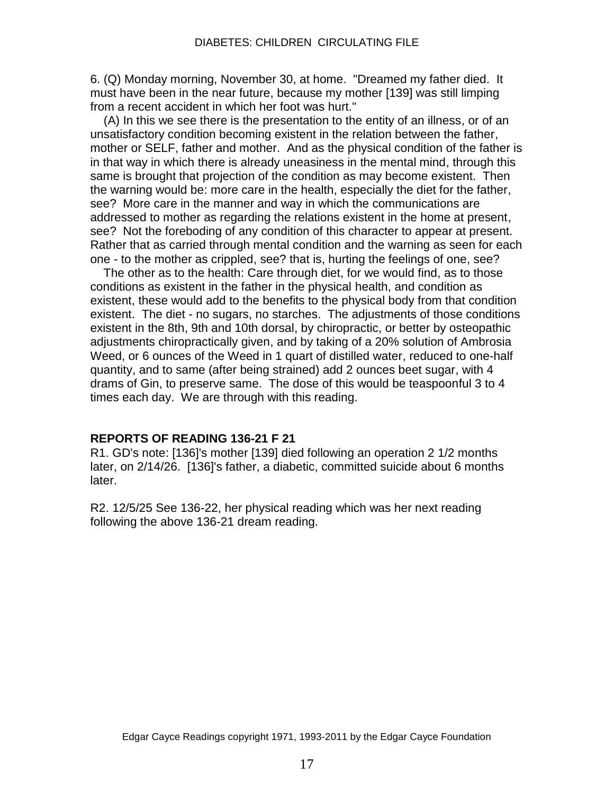6. (Q) Monday morning, November 30, at home. "Dreamed my father died. It must have been in the near future, because my mother [139] was still limping from a recent accident in which her foot was hurt."

 (A) In this we see there is the presentation to the entity of an illness, or of an unsatisfactory condition becoming existent in the relation between the father, mother or SELF, father and mother. And as the physical condition of the father is in that way in which there is already uneasiness in the mental mind, through this same is brought that projection of the condition as may become existent. Then the warning would be: more care in the health, especially the diet for the father, see? More care in the manner and way in which the communications are addressed to mother as regarding the relations existent in the home at present, see? Not the foreboding of any condition of this character to appear at present. Rather that as carried through mental condition and the warning as seen for each one - to the mother as crippled, see? that is, hurting the feelings of one, see?

 The other as to the health: Care through diet, for we would find, as to those conditions as existent in the father in the physical health, and condition as existent, these would add to the benefits to the physical body from that condition existent. The diet - no sugars, no starches. The adjustments of those conditions existent in the 8th, 9th and 10th dorsal, by chiropractic, or better by osteopathic adjustments chiropractically given, and by taking of a 20% solution of Ambrosia Weed, or 6 ounces of the Weed in 1 quart of distilled water, reduced to one-half quantity, and to same (after being strained) add 2 ounces beet sugar, with 4 drams of Gin, to preserve same. The dose of this would be teaspoonful 3 to 4 times each day. We are through with this reading.

#### **REPORTS OF READING 136-21 F 21**

R1. GD's note: [136]'s mother [139] died following an operation 2 1/2 months later, on 2/14/26. [136]'s father, a diabetic, committed suicide about 6 months later.

R2. 12/5/25 See 136-22, her physical reading which was her next reading following the above 136-21 dream reading.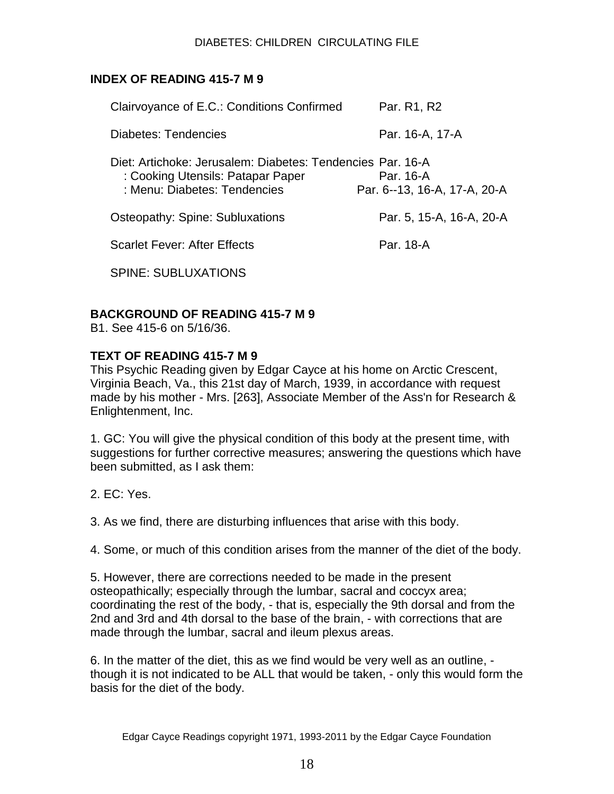# **INDEX OF READING 415-7 M 9**

| Clairvoyance of E.C.: Conditions Confirmed                                                                                      | Par. R1, R2                               |
|---------------------------------------------------------------------------------------------------------------------------------|-------------------------------------------|
| Diabetes: Tendencies                                                                                                            | Par. 16-A, 17-A                           |
| Diet: Artichoke: Jerusalem: Diabetes: Tendencies Par. 16-A<br>: Cooking Utensils: Patapar Paper<br>: Menu: Diabetes: Tendencies | Par. 16-A<br>Par. 6--13, 16-A, 17-A, 20-A |
| Osteopathy: Spine: Subluxations                                                                                                 | Par. 5, 15-A, 16-A, 20-A                  |
| <b>Scarlet Fever: After Effects</b>                                                                                             | Par. 18-A                                 |
| SPINE: SUBLUXATIONS                                                                                                             |                                           |

# **BACKGROUND OF READING 415-7 M 9**

B1. See 415-6 on 5/16/36.

## **TEXT OF READING 415-7 M 9**

This Psychic Reading given by Edgar Cayce at his home on Arctic Crescent, Virginia Beach, Va., this 21st day of March, 1939, in accordance with request made by his mother - Mrs. [263], Associate Member of the Ass'n for Research & Enlightenment, Inc.

1. GC: You will give the physical condition of this body at the present time, with suggestions for further corrective measures; answering the questions which have been submitted, as I ask them:

2. EC: Yes.

3. As we find, there are disturbing influences that arise with this body.

4. Some, or much of this condition arises from the manner of the diet of the body.

5. However, there are corrections needed to be made in the present osteopathically; especially through the lumbar, sacral and coccyx area; coordinating the rest of the body, - that is, especially the 9th dorsal and from the 2nd and 3rd and 4th dorsal to the base of the brain, - with corrections that are made through the lumbar, sacral and ileum plexus areas.

6. In the matter of the diet, this as we find would be very well as an outline, though it is not indicated to be ALL that would be taken, - only this would form the basis for the diet of the body.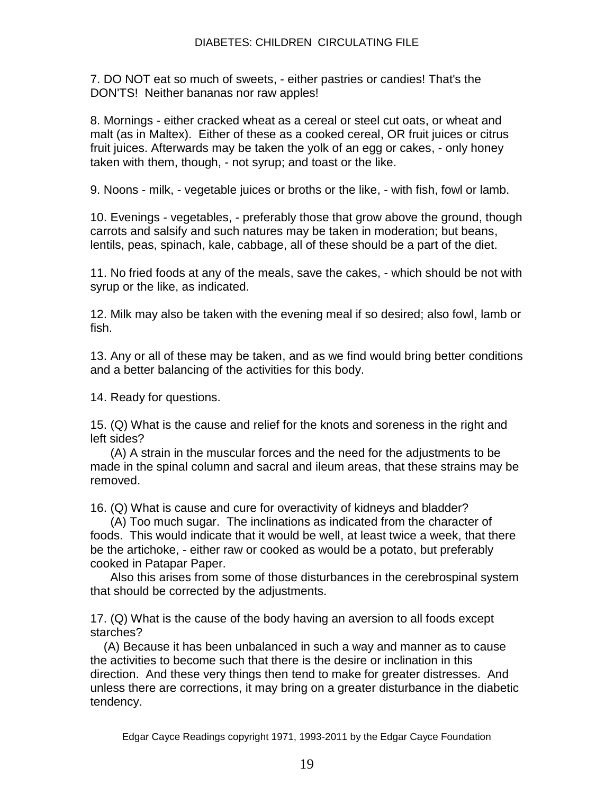7. DO NOT eat so much of sweets, - either pastries or candies! That's the DON'TS! Neither bananas nor raw apples!

8. Mornings - either cracked wheat as a cereal or steel cut oats, or wheat and malt (as in Maltex). Either of these as a cooked cereal, OR fruit juices or citrus fruit juices. Afterwards may be taken the yolk of an egg or cakes, - only honey taken with them, though, - not syrup; and toast or the like.

9. Noons - milk, - vegetable juices or broths or the like, - with fish, fowl or lamb.

10. Evenings - vegetables, - preferably those that grow above the ground, though carrots and salsify and such natures may be taken in moderation; but beans, lentils, peas, spinach, kale, cabbage, all of these should be a part of the diet.

11. No fried foods at any of the meals, save the cakes, - which should be not with syrup or the like, as indicated.

12. Milk may also be taken with the evening meal if so desired; also fowl, lamb or fish.

13. Any or all of these may be taken, and as we find would bring better conditions and a better balancing of the activities for this body.

14. Ready for questions.

15. (Q) What is the cause and relief for the knots and soreness in the right and left sides?

 (A) A strain in the muscular forces and the need for the adjustments to be made in the spinal column and sacral and ileum areas, that these strains may be removed.

16. (Q) What is cause and cure for overactivity of kidneys and bladder?

 (A) Too much sugar. The inclinations as indicated from the character of foods. This would indicate that it would be well, at least twice a week, that there be the artichoke, - either raw or cooked as would be a potato, but preferably cooked in Patapar Paper.

 Also this arises from some of those disturbances in the cerebrospinal system that should be corrected by the adjustments.

17. (Q) What is the cause of the body having an aversion to all foods except starches?

 (A) Because it has been unbalanced in such a way and manner as to cause the activities to become such that there is the desire or inclination in this direction. And these very things then tend to make for greater distresses. And unless there are corrections, it may bring on a greater disturbance in the diabetic tendency.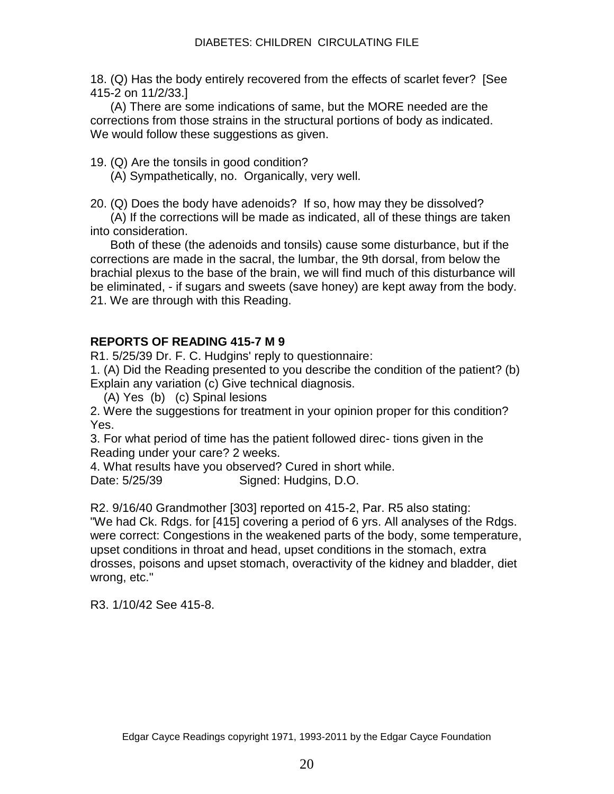18. (Q) Has the body entirely recovered from the effects of scarlet fever? [See 415-2 on 11/2/33.]

 (A) There are some indications of same, but the MORE needed are the corrections from those strains in the structural portions of body as indicated. We would follow these suggestions as given.

19. (Q) Are the tonsils in good condition?

(A) Sympathetically, no. Organically, very well.

20. (Q) Does the body have adenoids? If so, how may they be dissolved?

 (A) If the corrections will be made as indicated, all of these things are taken into consideration.

 Both of these (the adenoids and tonsils) cause some disturbance, but if the corrections are made in the sacral, the lumbar, the 9th dorsal, from below the brachial plexus to the base of the brain, we will find much of this disturbance will be eliminated, - if sugars and sweets (save honey) are kept away from the body. 21. We are through with this Reading.

# **REPORTS OF READING 415-7 M 9**

R1. 5/25/39 Dr. F. C. Hudgins' reply to questionnaire:

1. (A) Did the Reading presented to you describe the condition of the patient? (b) Explain any variation (c) Give technical diagnosis.

(A) Yes (b) (c) Spinal lesions

2. Were the suggestions for treatment in your opinion proper for this condition? Yes.

3. For what period of time has the patient followed direc- tions given in the Reading under your care? 2 weeks.

4. What results have you observed? Cured in short while. Date: 5/25/39 Signed: Hudgins, D.O.

R2. 9/16/40 Grandmother [303] reported on 415-2, Par. R5 also stating:

"We had Ck. Rdgs. for [415] covering a period of 6 yrs. All analyses of the Rdgs. were correct: Congestions in the weakened parts of the body, some temperature, upset conditions in throat and head, upset conditions in the stomach, extra drosses, poisons and upset stomach, overactivity of the kidney and bladder, diet wrong, etc."

R3. 1/10/42 See 415-8.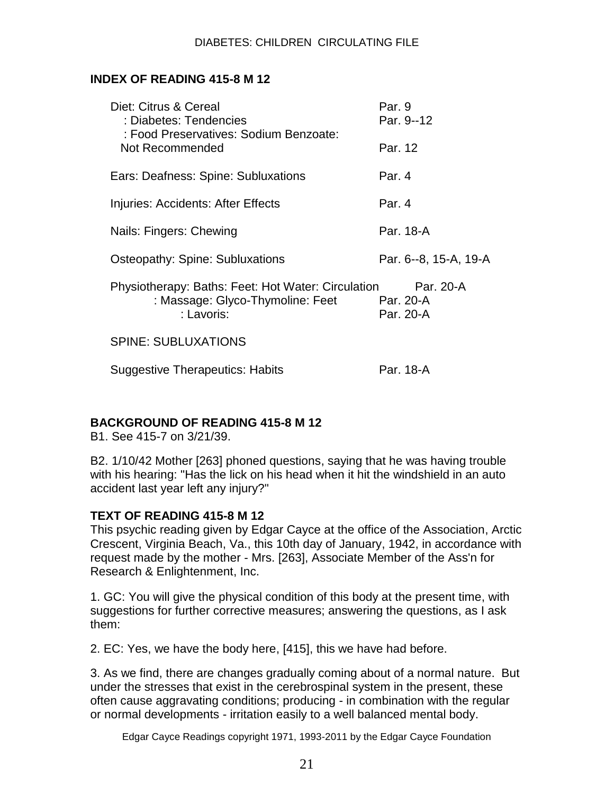# **INDEX OF READING 415-8 M 12**

| Diet: Citrus & Cereal<br>: Diabetes: Tendencies<br>: Food Preservatives: Sodium Benzoate:            | Par. 9<br>Par. 9--12                       |
|------------------------------------------------------------------------------------------------------|--------------------------------------------|
| Not Recommended                                                                                      | Par. 12                                    |
| Ears: Deafness: Spine: Subluxations                                                                  | Par. 4                                     |
| Injuries: Accidents: After Effects                                                                   | Par. 4                                     |
| Nails: Fingers: Chewing                                                                              | Par. 18-A                                  |
| <b>Osteopathy: Spine: Subluxations</b>                                                               | Par. 6--8, 15-A, 19-A                      |
| Physiotherapy: Baths: Feet: Hot Water: Circulation<br>: Massage: Glyco-Thymoline: Feet<br>: Lavoris: | Par. 20-A<br><b>Par. 20-A</b><br>Par. 20-A |
| <b>SPINE: SUBLUXATIONS</b>                                                                           |                                            |
| <b>Suggestive Therapeutics: Habits</b>                                                               | Par. 18-A                                  |

# **BACKGROUND OF READING 415-8 M 12**

B1. See 415-7 on 3/21/39.

B2. 1/10/42 Mother [263] phoned questions, saying that he was having trouble with his hearing: "Has the lick on his head when it hit the windshield in an auto accident last year left any injury?"

# **TEXT OF READING 415-8 M 12**

This psychic reading given by Edgar Cayce at the office of the Association, Arctic Crescent, Virginia Beach, Va., this 10th day of January, 1942, in accordance with request made by the mother - Mrs. [263], Associate Member of the Ass'n for Research & Enlightenment, Inc.

1. GC: You will give the physical condition of this body at the present time, with suggestions for further corrective measures; answering the questions, as I ask them:

2. EC: Yes, we have the body here, [415], this we have had before.

3. As we find, there are changes gradually coming about of a normal nature. But under the stresses that exist in the cerebrospinal system in the present, these often cause aggravating conditions; producing - in combination with the regular or normal developments - irritation easily to a well balanced mental body.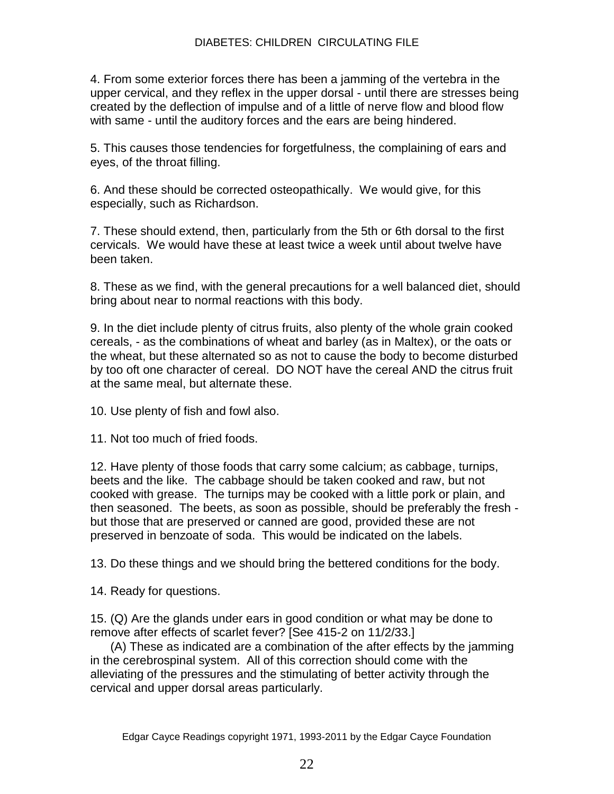4. From some exterior forces there has been a jamming of the vertebra in the upper cervical, and they reflex in the upper dorsal - until there are stresses being created by the deflection of impulse and of a little of nerve flow and blood flow with same - until the auditory forces and the ears are being hindered.

5. This causes those tendencies for forgetfulness, the complaining of ears and eyes, of the throat filling.

6. And these should be corrected osteopathically. We would give, for this especially, such as Richardson.

7. These should extend, then, particularly from the 5th or 6th dorsal to the first cervicals. We would have these at least twice a week until about twelve have been taken.

8. These as we find, with the general precautions for a well balanced diet, should bring about near to normal reactions with this body.

9. In the diet include plenty of citrus fruits, also plenty of the whole grain cooked cereals, - as the combinations of wheat and barley (as in Maltex), or the oats or the wheat, but these alternated so as not to cause the body to become disturbed by too oft one character of cereal. DO NOT have the cereal AND the citrus fruit at the same meal, but alternate these.

10. Use plenty of fish and fowl also.

11. Not too much of fried foods.

12. Have plenty of those foods that carry some calcium; as cabbage, turnips, beets and the like. The cabbage should be taken cooked and raw, but not cooked with grease. The turnips may be cooked with a little pork or plain, and then seasoned. The beets, as soon as possible, should be preferably the fresh but those that are preserved or canned are good, provided these are not preserved in benzoate of soda. This would be indicated on the labels.

13. Do these things and we should bring the bettered conditions for the body.

14. Ready for questions.

15. (Q) Are the glands under ears in good condition or what may be done to remove after effects of scarlet fever? [See 415-2 on 11/2/33.]

 (A) These as indicated are a combination of the after effects by the jamming in the cerebrospinal system. All of this correction should come with the alleviating of the pressures and the stimulating of better activity through the cervical and upper dorsal areas particularly.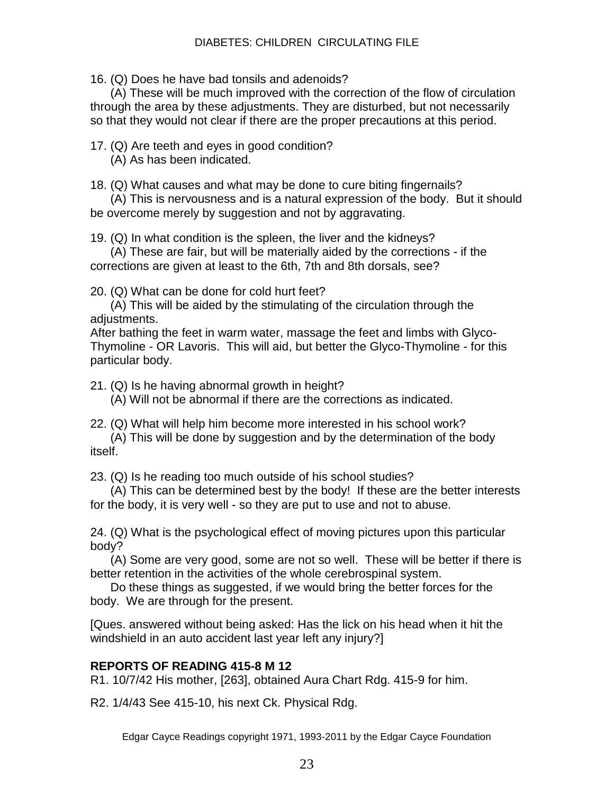#### DIABETES: CHILDREN CIRCULATING FILE

16. (Q) Does he have bad tonsils and adenoids?

 (A) These will be much improved with the correction of the flow of circulation through the area by these adjustments. They are disturbed, but not necessarily so that they would not clear if there are the proper precautions at this period.

17. (Q) Are teeth and eyes in good condition?

(A) As has been indicated.

18. (Q) What causes and what may be done to cure biting fingernails?

 (A) This is nervousness and is a natural expression of the body. But it should be overcome merely by suggestion and not by aggravating.

19. (Q) In what condition is the spleen, the liver and the kidneys?

 (A) These are fair, but will be materially aided by the corrections - if the corrections are given at least to the 6th, 7th and 8th dorsals, see?

20. (Q) What can be done for cold hurt feet?

 (A) This will be aided by the stimulating of the circulation through the adjustments.

After bathing the feet in warm water, massage the feet and limbs with Glyco-Thymoline - OR Lavoris. This will aid, but better the Glyco-Thymoline - for this particular body.

21. (Q) Is he having abnormal growth in height?

(A) Will not be abnormal if there are the corrections as indicated.

22. (Q) What will help him become more interested in his school work?

 (A) This will be done by suggestion and by the determination of the body itself.

23. (Q) Is he reading too much outside of his school studies?

 (A) This can be determined best by the body! If these are the better interests for the body, it is very well - so they are put to use and not to abuse.

24. (Q) What is the psychological effect of moving pictures upon this particular body?

 (A) Some are very good, some are not so well. These will be better if there is better retention in the activities of the whole cerebrospinal system.

 Do these things as suggested, if we would bring the better forces for the body. We are through for the present.

[Ques. answered without being asked: Has the lick on his head when it hit the windshield in an auto accident last year left any injury?]

# **REPORTS OF READING 415-8 M 12**

R1. 10/7/42 His mother, [263], obtained Aura Chart Rdg. 415-9 for him.

R2. 1/4/43 See 415-10, his next Ck. Physical Rdg.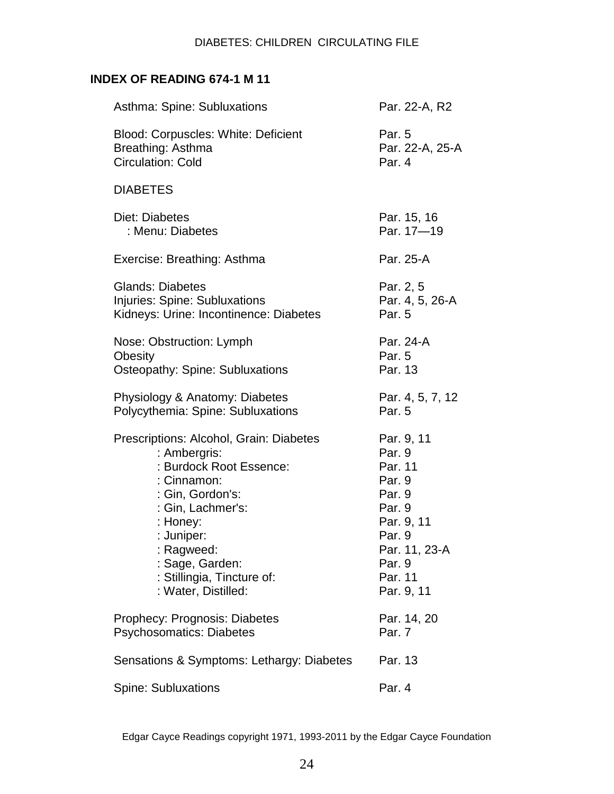# **INDEX OF READING 674-1 M 11**

| Asthma: Spine: Subluxations                                                                                                                                                                                                                                | Par. 22-A, R2                                                                                                                             |
|------------------------------------------------------------------------------------------------------------------------------------------------------------------------------------------------------------------------------------------------------------|-------------------------------------------------------------------------------------------------------------------------------------------|
| <b>Blood: Corpuscles: White: Deficient</b><br>Breathing: Asthma<br><b>Circulation: Cold</b>                                                                                                                                                                | Par. 5<br>Par. 22-A, 25-A<br>Par. 4                                                                                                       |
| <b>DIABETES</b>                                                                                                                                                                                                                                            |                                                                                                                                           |
| Diet: Diabetes<br>: Menu: Diabetes                                                                                                                                                                                                                         | Par. 15, 16<br>Par. 17-19                                                                                                                 |
| Exercise: Breathing: Asthma                                                                                                                                                                                                                                | Par. 25-A                                                                                                                                 |
| <b>Glands: Diabetes</b><br>Injuries: Spine: Subluxations<br>Kidneys: Urine: Incontinence: Diabetes                                                                                                                                                         | Par. 2, 5<br>Par. 4, 5, 26-A<br>Par. 5                                                                                                    |
| Nose: Obstruction: Lymph<br>Obesity<br>Osteopathy: Spine: Subluxations                                                                                                                                                                                     | Par. 24-A<br>Par. 5<br>Par. 13                                                                                                            |
| Physiology & Anatomy: Diabetes<br>Polycythemia: Spine: Subluxations                                                                                                                                                                                        | Par. 4, 5, 7, 12<br>Par. 5                                                                                                                |
| Prescriptions: Alcohol, Grain: Diabetes<br>: Ambergris:<br>: Burdock Root Essence:<br>: Cinnamon:<br>: Gin, Gordon's:<br>: Gin, Lachmer's:<br>: Honey:<br>: Juniper:<br>: Ragweed:<br>: Sage, Garden:<br>: Stillingia, Tincture of:<br>: Water, Distilled: | Par. 9, 11<br>Par. 9<br>Par. 11<br>Par. 9<br>Par. 9<br>Par. 9<br>Par. 9, 11<br>Par. 9<br>Par. 11, 23-A<br>Par. 9<br>Par. 11<br>Par. 9, 11 |
| Prophecy: Prognosis: Diabetes<br><b>Psychosomatics: Diabetes</b>                                                                                                                                                                                           | Par. 14, 20<br>Par. 7                                                                                                                     |
| Sensations & Symptoms: Lethargy: Diabetes                                                                                                                                                                                                                  | Par. 13                                                                                                                                   |
| <b>Spine: Subluxations</b>                                                                                                                                                                                                                                 | Par. 4                                                                                                                                    |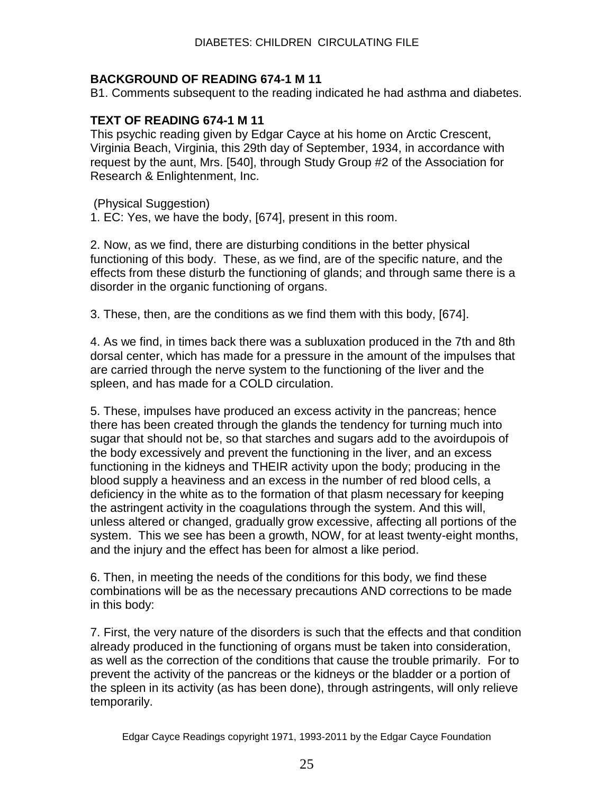## **BACKGROUND OF READING 674-1 M 11**

B1. Comments subsequent to the reading indicated he had asthma and diabetes.

## **TEXT OF READING 674-1 M 11**

This psychic reading given by Edgar Cayce at his home on Arctic Crescent, Virginia Beach, Virginia, this 29th day of September, 1934, in accordance with request by the aunt, Mrs. [540], through Study Group #2 of the Association for Research & Enlightenment, Inc.

(Physical Suggestion)

1. EC: Yes, we have the body, [674], present in this room.

2. Now, as we find, there are disturbing conditions in the better physical functioning of this body. These, as we find, are of the specific nature, and the effects from these disturb the functioning of glands; and through same there is a disorder in the organic functioning of organs.

3. These, then, are the conditions as we find them with this body, [674].

4. As we find, in times back there was a subluxation produced in the 7th and 8th dorsal center, which has made for a pressure in the amount of the impulses that are carried through the nerve system to the functioning of the liver and the spleen, and has made for a COLD circulation.

5. These, impulses have produced an excess activity in the pancreas; hence there has been created through the glands the tendency for turning much into sugar that should not be, so that starches and sugars add to the avoirdupois of the body excessively and prevent the functioning in the liver, and an excess functioning in the kidneys and THEIR activity upon the body; producing in the blood supply a heaviness and an excess in the number of red blood cells, a deficiency in the white as to the formation of that plasm necessary for keeping the astringent activity in the coagulations through the system. And this will, unless altered or changed, gradually grow excessive, affecting all portions of the system. This we see has been a growth, NOW, for at least twenty-eight months, and the injury and the effect has been for almost a like period.

6. Then, in meeting the needs of the conditions for this body, we find these combinations will be as the necessary precautions AND corrections to be made in this body:

7. First, the very nature of the disorders is such that the effects and that condition already produced in the functioning of organs must be taken into consideration, as well as the correction of the conditions that cause the trouble primarily. For to prevent the activity of the pancreas or the kidneys or the bladder or a portion of the spleen in its activity (as has been done), through astringents, will only relieve temporarily.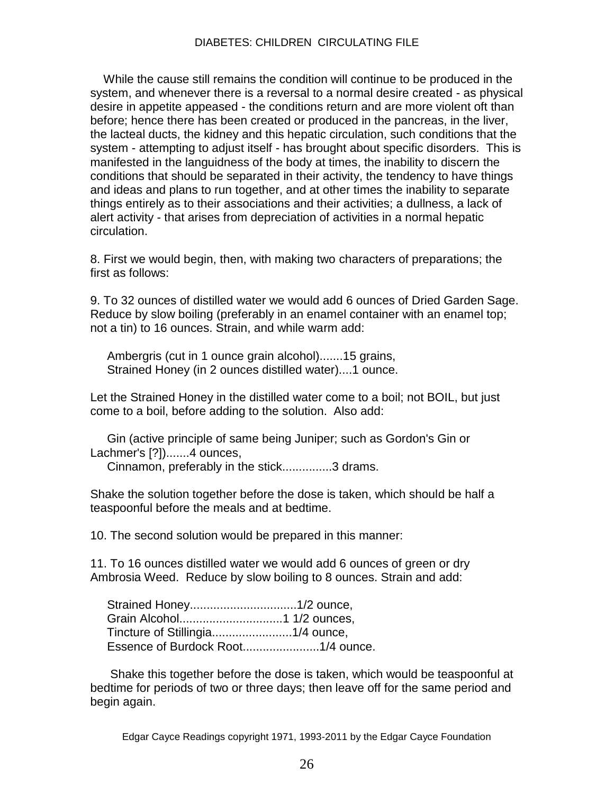#### DIABETES: CHILDREN CIRCULATING FILE

 While the cause still remains the condition will continue to be produced in the system, and whenever there is a reversal to a normal desire created - as physical desire in appetite appeased - the conditions return and are more violent oft than before; hence there has been created or produced in the pancreas, in the liver, the lacteal ducts, the kidney and this hepatic circulation, such conditions that the system - attempting to adjust itself - has brought about specific disorders. This is manifested in the languidness of the body at times, the inability to discern the conditions that should be separated in their activity, the tendency to have things and ideas and plans to run together, and at other times the inability to separate things entirely as to their associations and their activities; a dullness, a lack of alert activity - that arises from depreciation of activities in a normal hepatic circulation.

8. First we would begin, then, with making two characters of preparations; the first as follows:

9. To 32 ounces of distilled water we would add 6 ounces of Dried Garden Sage. Reduce by slow boiling (preferably in an enamel container with an enamel top; not a tin) to 16 ounces. Strain, and while warm add:

 Ambergris (cut in 1 ounce grain alcohol).......15 grains, Strained Honey (in 2 ounces distilled water)....1 ounce.

Let the Strained Honey in the distilled water come to a boil; not BOIL, but just come to a boil, before adding to the solution. Also add:

 Gin (active principle of same being Juniper; such as Gordon's Gin or Lachmer's [?]).......4 ounces,

Cinnamon, preferably in the stick...............3 drams.

Shake the solution together before the dose is taken, which should be half a teaspoonful before the meals and at bedtime.

10. The second solution would be prepared in this manner:

11. To 16 ounces distilled water we would add 6 ounces of green or dry Ambrosia Weed. Reduce by slow boiling to 8 ounces. Strain and add:

 Shake this together before the dose is taken, which would be teaspoonful at bedtime for periods of two or three days; then leave off for the same period and begin again.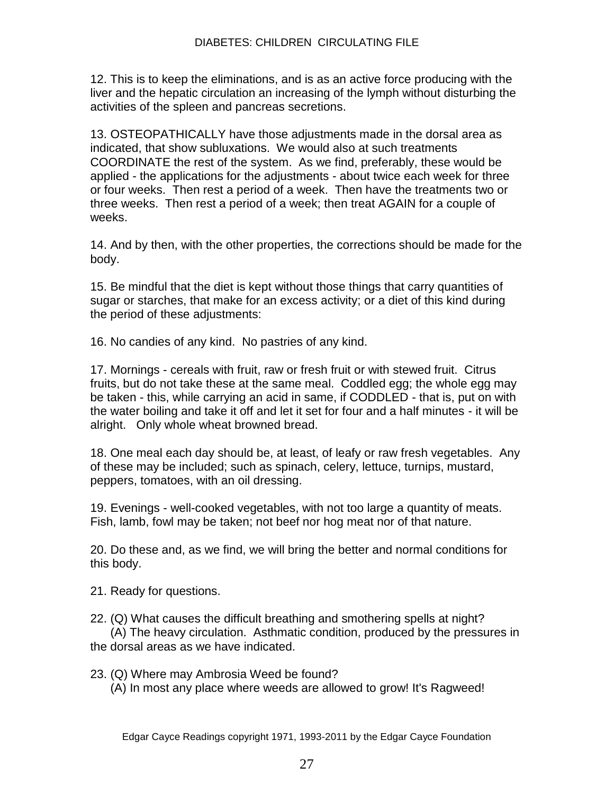12. This is to keep the eliminations, and is as an active force producing with the liver and the hepatic circulation an increasing of the lymph without disturbing the activities of the spleen and pancreas secretions.

13. OSTEOPATHICALLY have those adjustments made in the dorsal area as indicated, that show subluxations. We would also at such treatments COORDINATE the rest of the system. As we find, preferably, these would be applied - the applications for the adjustments - about twice each week for three or four weeks. Then rest a period of a week. Then have the treatments two or three weeks. Then rest a period of a week; then treat AGAIN for a couple of weeks.

14. And by then, with the other properties, the corrections should be made for the body.

15. Be mindful that the diet is kept without those things that carry quantities of sugar or starches, that make for an excess activity; or a diet of this kind during the period of these adjustments:

16. No candies of any kind. No pastries of any kind.

17. Mornings - cereals with fruit, raw or fresh fruit or with stewed fruit. Citrus fruits, but do not take these at the same meal. Coddled egg; the whole egg may be taken - this, while carrying an acid in same, if CODDLED - that is, put on with the water boiling and take it off and let it set for four and a half minutes - it will be alright. Only whole wheat browned bread.

18. One meal each day should be, at least, of leafy or raw fresh vegetables. Any of these may be included; such as spinach, celery, lettuce, turnips, mustard, peppers, tomatoes, with an oil dressing.

19. Evenings - well-cooked vegetables, with not too large a quantity of meats. Fish, lamb, fowl may be taken; not beef nor hog meat nor of that nature.

20. Do these and, as we find, we will bring the better and normal conditions for this body.

21. Ready for questions.

22. (Q) What causes the difficult breathing and smothering spells at night?

 (A) The heavy circulation. Asthmatic condition, produced by the pressures in the dorsal areas as we have indicated.

23. (Q) Where may Ambrosia Weed be found? (A) In most any place where weeds are allowed to grow! It's Ragweed!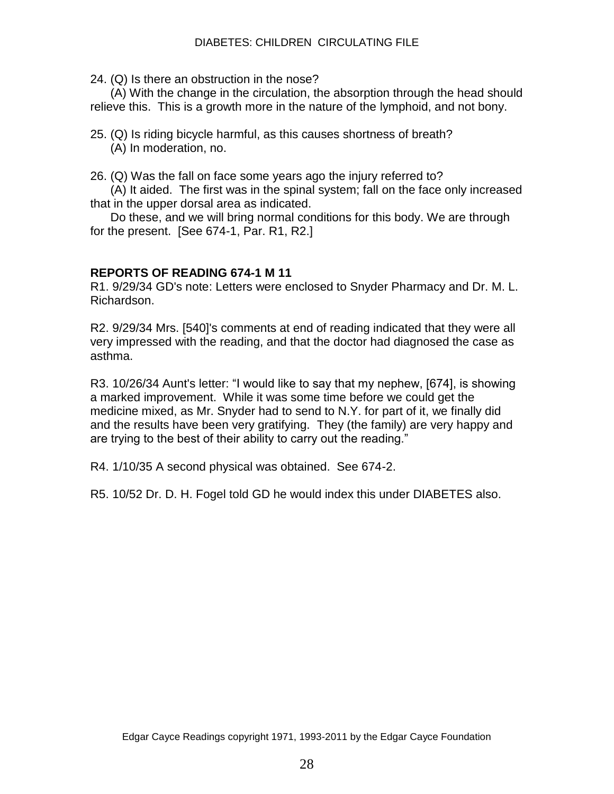24. (Q) Is there an obstruction in the nose?

 (A) With the change in the circulation, the absorption through the head should relieve this. This is a growth more in the nature of the lymphoid, and not bony.

25. (Q) Is riding bicycle harmful, as this causes shortness of breath? (A) In moderation, no.

26. (Q) Was the fall on face some years ago the injury referred to?

 (A) It aided. The first was in the spinal system; fall on the face only increased that in the upper dorsal area as indicated.

 Do these, and we will bring normal conditions for this body. We are through for the present. [See 674-1, Par. R1, R2.]

## **REPORTS OF READING 674-1 M 11**

R1. 9/29/34 GD's note: Letters were enclosed to Snyder Pharmacy and Dr. M. L. Richardson.

R2. 9/29/34 Mrs. [540]'s comments at end of reading indicated that they were all very impressed with the reading, and that the doctor had diagnosed the case as asthma.

R3. 10/26/34 Aunt's letter: "I would like to say that my nephew, [674], is showing a marked improvement. While it was some time before we could get the medicine mixed, as Mr. Snyder had to send to N.Y. for part of it, we finally did and the results have been very gratifying. They (the family) are very happy and are trying to the best of their ability to carry out the reading."

R4. 1/10/35 A second physical was obtained. See 674-2.

R5. 10/52 Dr. D. H. Fogel told GD he would index this under DIABETES also.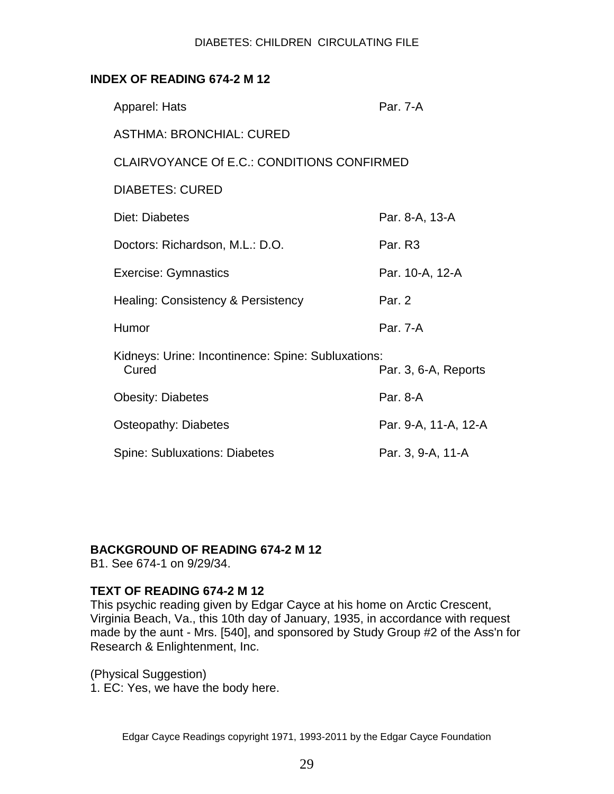#### DIABETES: CHILDREN CIRCULATING FILE

## **INDEX OF READING 674-2 M 12**

| Apparel: Hats                                               | Par. 7-A             |
|-------------------------------------------------------------|----------------------|
| <b>ASTHMA: BRONCHIAL: CURED</b>                             |                      |
| <b>CLAIRVOYANCE Of E.C.: CONDITIONS CONFIRMED</b>           |                      |
| <b>DIABETES: CURED</b>                                      |                      |
| Diet: Diabetes                                              | Par. 8-A, 13-A       |
| Doctors: Richardson, M.L.: D.O.                             | Par. R <sub>3</sub>  |
| <b>Exercise: Gymnastics</b>                                 | Par. 10-A, 12-A      |
| Healing: Consistency & Persistency                          | Par. 2               |
| Humor                                                       | Par. 7-A             |
| Kidneys: Urine: Incontinence: Spine: Subluxations:<br>Cured | Par. 3, 6-A, Reports |
| <b>Obesity: Diabetes</b>                                    | Par. 8-A             |
| Osteopathy: Diabetes                                        | Par. 9-A, 11-A, 12-A |
| <b>Spine: Subluxations: Diabetes</b>                        | Par. 3, 9-A, 11-A    |

#### **BACKGROUND OF READING 674-2 M 12**

B1. See 674-1 on 9/29/34.

#### **TEXT OF READING 674-2 M 12**

This psychic reading given by Edgar Cayce at his home on Arctic Crescent, Virginia Beach, Va., this 10th day of January, 1935, in accordance with request made by the aunt - Mrs. [540], and sponsored by Study Group #2 of the Ass'n for Research & Enlightenment, Inc.

(Physical Suggestion) 1. EC: Yes, we have the body here.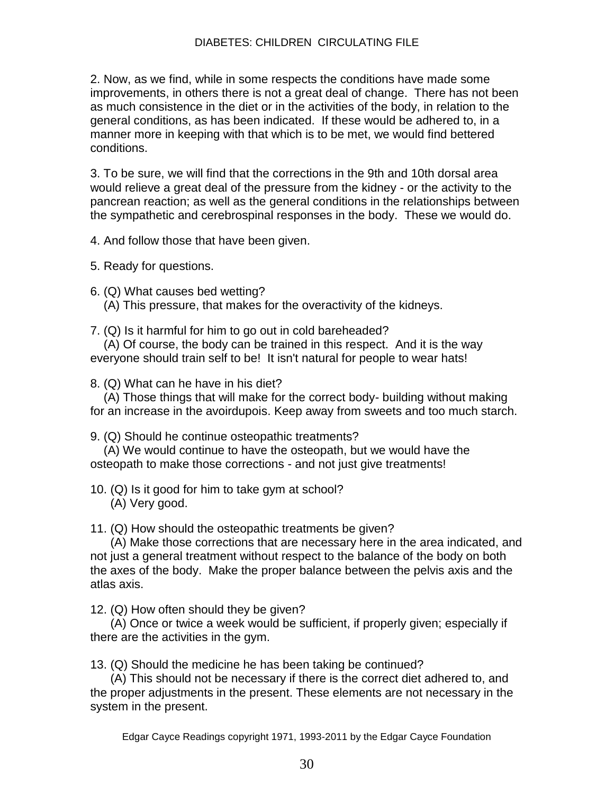2. Now, as we find, while in some respects the conditions have made some improvements, in others there is not a great deal of change. There has not been as much consistence in the diet or in the activities of the body, in relation to the general conditions, as has been indicated. If these would be adhered to, in a manner more in keeping with that which is to be met, we would find bettered conditions.

3. To be sure, we will find that the corrections in the 9th and 10th dorsal area would relieve a great deal of the pressure from the kidney - or the activity to the pancrean reaction; as well as the general conditions in the relationships between the sympathetic and cerebrospinal responses in the body. These we would do.

4. And follow those that have been given.

5. Ready for questions.

- 6. (Q) What causes bed wetting?
	- (A) This pressure, that makes for the overactivity of the kidneys.
- 7. (Q) Is it harmful for him to go out in cold bareheaded?

 (A) Of course, the body can be trained in this respect. And it is the way everyone should train self to be! It isn't natural for people to wear hats!

8. (Q) What can he have in his diet?

 (A) Those things that will make for the correct body- building without making for an increase in the avoirdupois. Keep away from sweets and too much starch.

9. (Q) Should he continue osteopathic treatments?

 (A) We would continue to have the osteopath, but we would have the osteopath to make those corrections - and not just give treatments!

10. (Q) Is it good for him to take gym at school?

(A) Very good.

11. (Q) How should the osteopathic treatments be given?

 (A) Make those corrections that are necessary here in the area indicated, and not just a general treatment without respect to the balance of the body on both the axes of the body. Make the proper balance between the pelvis axis and the atlas axis.

12. (Q) How often should they be given?

 (A) Once or twice a week would be sufficient, if properly given; especially if there are the activities in the gym.

13. (Q) Should the medicine he has been taking be continued?

 (A) This should not be necessary if there is the correct diet adhered to, and the proper adjustments in the present. These elements are not necessary in the system in the present.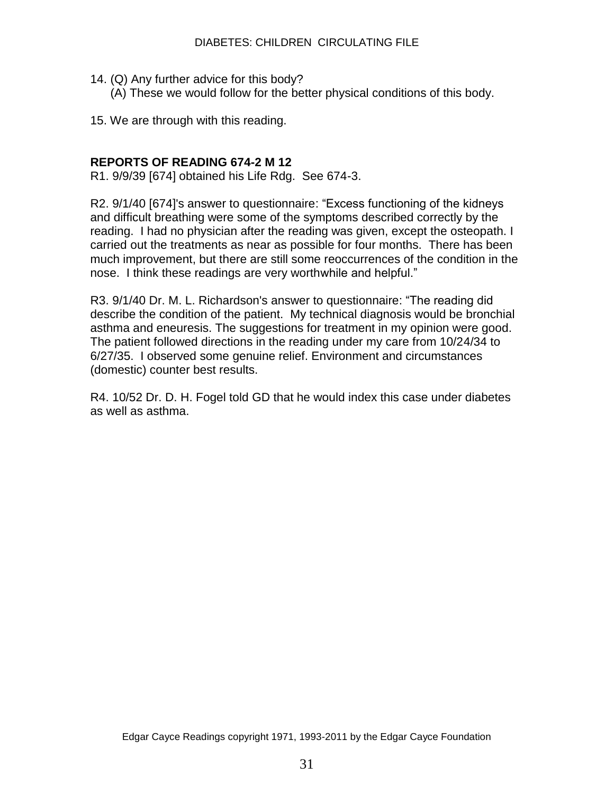- 14. (Q) Any further advice for this body?
	- (A) These we would follow for the better physical conditions of this body.
- 15. We are through with this reading.

#### **REPORTS OF READING 674-2 M 12**

R1. 9/9/39 [674] obtained his Life Rdg. See 674-3.

R2. 9/1/40 [674]'s answer to questionnaire: "Excess functioning of the kidneys and difficult breathing were some of the symptoms described correctly by the reading. I had no physician after the reading was given, except the osteopath. I carried out the treatments as near as possible for four months. There has been much improvement, but there are still some reoccurrences of the condition in the nose. I think these readings are very worthwhile and helpful."

R3. 9/1/40 Dr. M. L. Richardson's answer to questionnaire: "The reading did describe the condition of the patient. My technical diagnosis would be bronchial asthma and eneuresis. The suggestions for treatment in my opinion were good. The patient followed directions in the reading under my care from 10/24/34 to 6/27/35. I observed some genuine relief. Environment and circumstances (domestic) counter best results.

R4. 10/52 Dr. D. H. Fogel told GD that he would index this case under diabetes as well as asthma.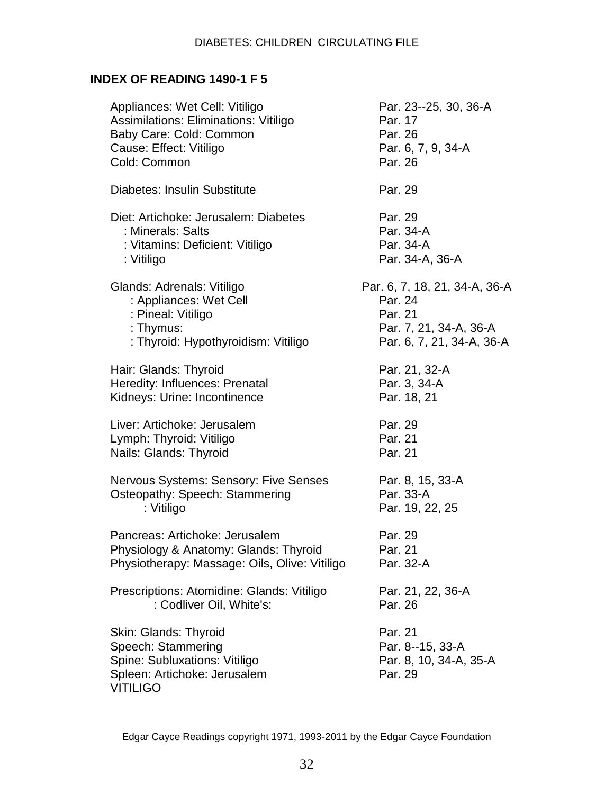# **INDEX OF READING 1490-1 F 5**

| Appliances: Wet Cell: Vitiligo<br>Assimilations: Eliminations: Vitiligo<br>Baby Care: Cold: Common<br>Cause: Effect: Vitiligo<br>Cold: Common | Par. 23--25, 30, 36-A<br>Par. 17<br>Par. 26<br>Par. 6, 7, 9, 34-A<br>Par. 26                               |
|-----------------------------------------------------------------------------------------------------------------------------------------------|------------------------------------------------------------------------------------------------------------|
| Diabetes: Insulin Substitute                                                                                                                  | Par. 29                                                                                                    |
| Diet: Artichoke: Jerusalem: Diabetes<br>: Minerals: Salts<br>: Vitamins: Deficient: Vitiligo<br>: Vitiligo                                    | Par. 29<br>Par. 34-A<br>Par. 34-A<br>Par. 34-A, 36-A                                                       |
| Glands: Adrenals: Vitiligo<br>: Appliances: Wet Cell<br>: Pineal: Vitiligo<br>: Thymus:<br>: Thyroid: Hypothyroidism: Vitiligo                | Par. 6, 7, 18, 21, 34-A, 36-A<br>Par. 24<br>Par. 21<br>Par. 7, 21, 34-A, 36-A<br>Par. 6, 7, 21, 34-A, 36-A |
| Hair: Glands: Thyroid<br>Heredity: Influences: Prenatal<br>Kidneys: Urine: Incontinence                                                       | Par. 21, 32-A<br>Par. 3, 34-A<br>Par. 18, 21                                                               |
| Liver: Artichoke: Jerusalem<br>Lymph: Thyroid: Vitiligo<br>Nails: Glands: Thyroid                                                             | Par. 29<br>Par. 21<br>Par. 21                                                                              |
| Nervous Systems: Sensory: Five Senses<br>Osteopathy: Speech: Stammering<br>: Vitiligo                                                         | Par. 8, 15, 33-A<br>Par. 33-A<br>Par. 19, 22, 25                                                           |
| Pancreas: Artichoke: Jerusalem<br>Physiology & Anatomy: Glands: Thyroid<br>Physiotherapy: Massage: Oils, Olive: Vitiligo                      | Par. 29<br>Par. 21<br>Par. 32-A                                                                            |
| Prescriptions: Atomidine: Glands: Vitiligo<br>: Codliver Oil, White's:                                                                        | Par. 21, 22, 36-A<br>Par. 26                                                                               |
| Skin: Glands: Thyroid<br>Speech: Stammering<br>Spine: Subluxations: Vitiligo<br>Spleen: Artichoke: Jerusalem<br><b>VITILIGO</b>               | Par. 21<br>Par. 8--15, 33-A<br>Par. 8, 10, 34-A, 35-A<br>Par. 29                                           |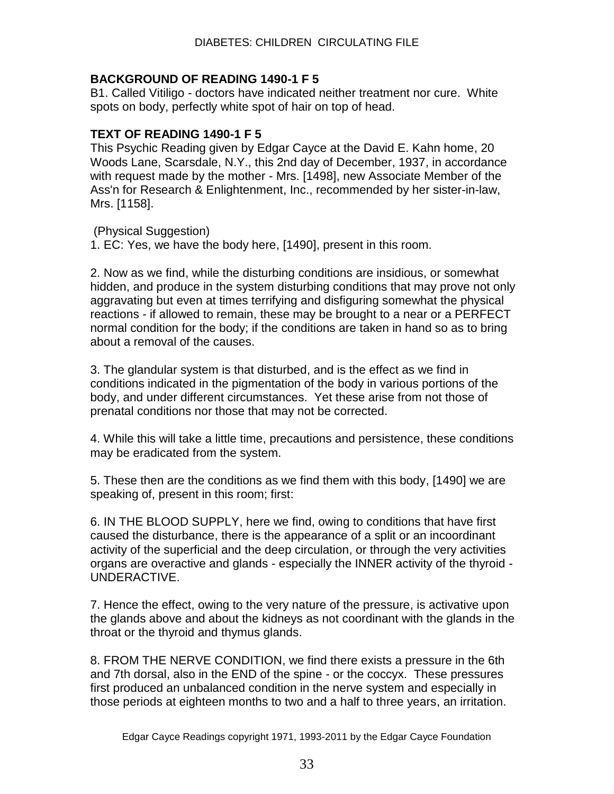## **BACKGROUND OF READING 1490-1 F 5**

B1. Called Vitiligo - doctors have indicated neither treatment nor cure. White spots on body, perfectly white spot of hair on top of head.

## **TEXT OF READING 1490-1 F 5**

This Psychic Reading given by Edgar Cayce at the David E. Kahn home, 20 Woods Lane, Scarsdale, N.Y., this 2nd day of December, 1937, in accordance with request made by the mother - Mrs. [1498], new Associate Member of the Ass'n for Research & Enlightenment, Inc., recommended by her sister-in-law, Mrs. [1158].

(Physical Suggestion)

1. EC: Yes, we have the body here, [1490], present in this room.

2. Now as we find, while the disturbing conditions are insidious, or somewhat hidden, and produce in the system disturbing conditions that may prove not only aggravating but even at times terrifying and disfiguring somewhat the physical reactions - if allowed to remain, these may be brought to a near or a PERFECT normal condition for the body; if the conditions are taken in hand so as to bring about a removal of the causes.

3. The glandular system is that disturbed, and is the effect as we find in conditions indicated in the pigmentation of the body in various portions of the body, and under different circumstances. Yet these arise from not those of prenatal conditions nor those that may not be corrected.

4. While this will take a little time, precautions and persistence, these conditions may be eradicated from the system.

5. These then are the conditions as we find them with this body, [1490] we are speaking of, present in this room; first:

6. IN THE BLOOD SUPPLY, here we find, owing to conditions that have first caused the disturbance, there is the appearance of a split or an incoordinant activity of the superficial and the deep circulation, or through the very activities organs are overactive and glands - especially the INNER activity of the thyroid - UNDERACTIVE.

7. Hence the effect, owing to the very nature of the pressure, is activative upon the glands above and about the kidneys as not coordinant with the glands in the throat or the thyroid and thymus glands.

8. FROM THE NERVE CONDITION, we find there exists a pressure in the 6th and 7th dorsal, also in the END of the spine - or the coccyx. These pressures first produced an unbalanced condition in the nerve system and especially in those periods at eighteen months to two and a half to three years, an irritation.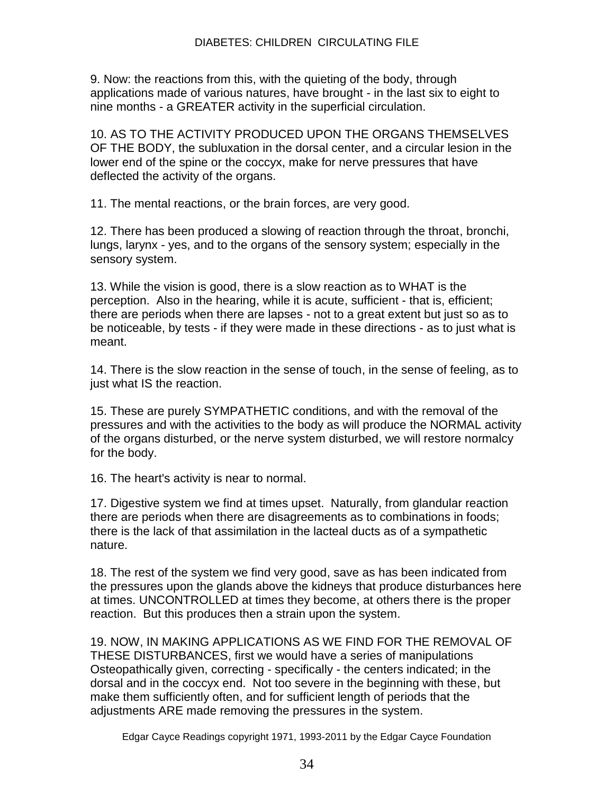9. Now: the reactions from this, with the quieting of the body, through applications made of various natures, have brought - in the last six to eight to nine months - a GREATER activity in the superficial circulation.

10. AS TO THE ACTIVITY PRODUCED UPON THE ORGANS THEMSELVES OF THE BODY, the subluxation in the dorsal center, and a circular lesion in the lower end of the spine or the coccyx, make for nerve pressures that have deflected the activity of the organs.

11. The mental reactions, or the brain forces, are very good.

12. There has been produced a slowing of reaction through the throat, bronchi, lungs, larynx - yes, and to the organs of the sensory system; especially in the sensory system.

13. While the vision is good, there is a slow reaction as to WHAT is the perception. Also in the hearing, while it is acute, sufficient - that is, efficient; there are periods when there are lapses - not to a great extent but just so as to be noticeable, by tests - if they were made in these directions - as to just what is meant.

14. There is the slow reaction in the sense of touch, in the sense of feeling, as to just what IS the reaction.

15. These are purely SYMPATHETIC conditions, and with the removal of the pressures and with the activities to the body as will produce the NORMAL activity of the organs disturbed, or the nerve system disturbed, we will restore normalcy for the body.

16. The heart's activity is near to normal.

17. Digestive system we find at times upset. Naturally, from glandular reaction there are periods when there are disagreements as to combinations in foods; there is the lack of that assimilation in the lacteal ducts as of a sympathetic nature.

18. The rest of the system we find very good, save as has been indicated from the pressures upon the glands above the kidneys that produce disturbances here at times. UNCONTROLLED at times they become, at others there is the proper reaction. But this produces then a strain upon the system.

19. NOW, IN MAKING APPLICATIONS AS WE FIND FOR THE REMOVAL OF THESE DISTURBANCES, first we would have a series of manipulations Osteopathically given, correcting - specifically - the centers indicated; in the dorsal and in the coccyx end. Not too severe in the beginning with these, but make them sufficiently often, and for sufficient length of periods that the adjustments ARE made removing the pressures in the system.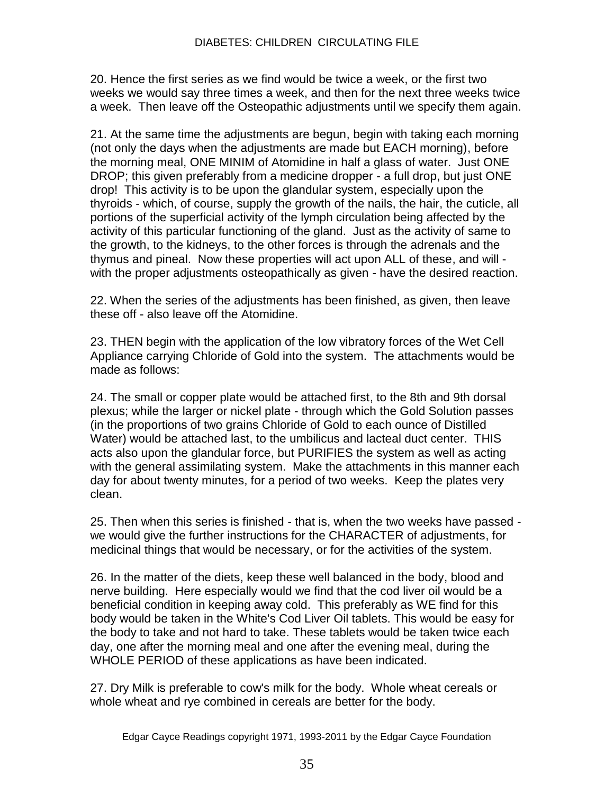20. Hence the first series as we find would be twice a week, or the first two weeks we would say three times a week, and then for the next three weeks twice a week. Then leave off the Osteopathic adjustments until we specify them again.

21. At the same time the adjustments are begun, begin with taking each morning (not only the days when the adjustments are made but EACH morning), before the morning meal, ONE MINIM of Atomidine in half a glass of water. Just ONE DROP; this given preferably from a medicine dropper - a full drop, but just ONE drop! This activity is to be upon the glandular system, especially upon the thyroids - which, of course, supply the growth of the nails, the hair, the cuticle, all portions of the superficial activity of the lymph circulation being affected by the activity of this particular functioning of the gland. Just as the activity of same to the growth, to the kidneys, to the other forces is through the adrenals and the thymus and pineal. Now these properties will act upon ALL of these, and will with the proper adjustments osteopathically as given - have the desired reaction.

22. When the series of the adjustments has been finished, as given, then leave these off - also leave off the Atomidine.

23. THEN begin with the application of the low vibratory forces of the Wet Cell Appliance carrying Chloride of Gold into the system. The attachments would be made as follows:

24. The small or copper plate would be attached first, to the 8th and 9th dorsal plexus; while the larger or nickel plate - through which the Gold Solution passes (in the proportions of two grains Chloride of Gold to each ounce of Distilled Water) would be attached last, to the umbilicus and lacteal duct center. THIS acts also upon the glandular force, but PURIFIES the system as well as acting with the general assimilating system. Make the attachments in this manner each day for about twenty minutes, for a period of two weeks. Keep the plates very clean.

25. Then when this series is finished - that is, when the two weeks have passed we would give the further instructions for the CHARACTER of adjustments, for medicinal things that would be necessary, or for the activities of the system.

26. In the matter of the diets, keep these well balanced in the body, blood and nerve building. Here especially would we find that the cod liver oil would be a beneficial condition in keeping away cold. This preferably as WE find for this body would be taken in the White's Cod Liver Oil tablets. This would be easy for the body to take and not hard to take. These tablets would be taken twice each day, one after the morning meal and one after the evening meal, during the WHOLE PERIOD of these applications as have been indicated.

27. Dry Milk is preferable to cow's milk for the body. Whole wheat cereals or whole wheat and rye combined in cereals are better for the body.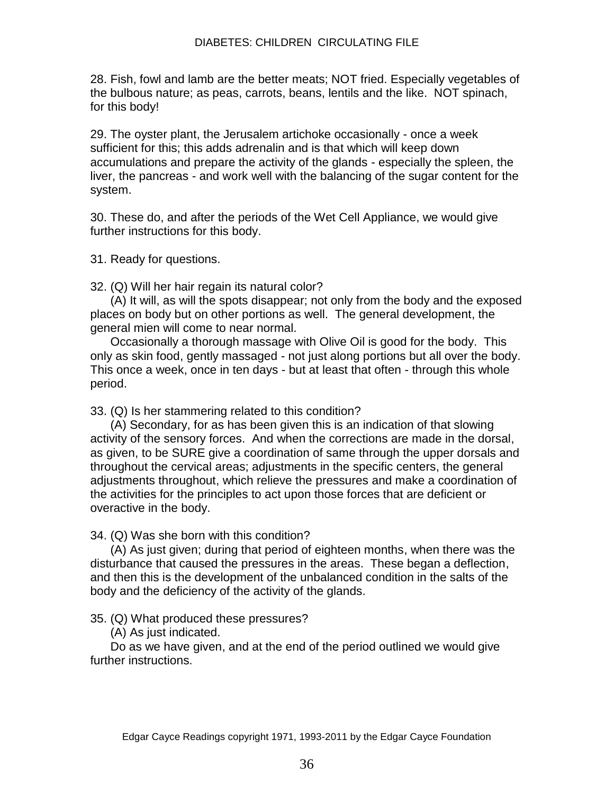28. Fish, fowl and lamb are the better meats; NOT fried. Especially vegetables of the bulbous nature; as peas, carrots, beans, lentils and the like. NOT spinach, for this body!

29. The oyster plant, the Jerusalem artichoke occasionally - once a week sufficient for this; this adds adrenalin and is that which will keep down accumulations and prepare the activity of the glands - especially the spleen, the liver, the pancreas - and work well with the balancing of the sugar content for the system.

30. These do, and after the periods of the Wet Cell Appliance, we would give further instructions for this body.

31. Ready for questions.

32. (Q) Will her hair regain its natural color?

 (A) It will, as will the spots disappear; not only from the body and the exposed places on body but on other portions as well. The general development, the general mien will come to near normal.

 Occasionally a thorough massage with Olive Oil is good for the body. This only as skin food, gently massaged - not just along portions but all over the body. This once a week, once in ten days - but at least that often - through this whole period.

33. (Q) Is her stammering related to this condition?

 (A) Secondary, for as has been given this is an indication of that slowing activity of the sensory forces. And when the corrections are made in the dorsal, as given, to be SURE give a coordination of same through the upper dorsals and throughout the cervical areas; adjustments in the specific centers, the general adjustments throughout, which relieve the pressures and make a coordination of the activities for the principles to act upon those forces that are deficient or overactive in the body.

34. (Q) Was she born with this condition?

 (A) As just given; during that period of eighteen months, when there was the disturbance that caused the pressures in the areas. These began a deflection, and then this is the development of the unbalanced condition in the salts of the body and the deficiency of the activity of the glands.

35. (Q) What produced these pressures?

(A) As just indicated.

 Do as we have given, and at the end of the period outlined we would give further instructions.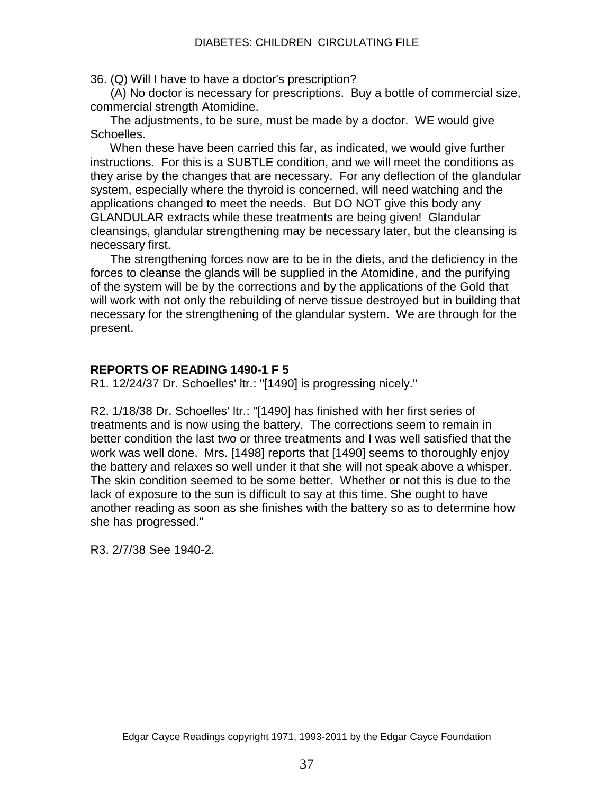36. (Q) Will I have to have a doctor's prescription?

 (A) No doctor is necessary for prescriptions. Buy a bottle of commercial size, commercial strength Atomidine.

 The adjustments, to be sure, must be made by a doctor. WE would give Schoelles.

 When these have been carried this far, as indicated, we would give further instructions. For this is a SUBTLE condition, and we will meet the conditions as they arise by the changes that are necessary. For any deflection of the glandular system, especially where the thyroid is concerned, will need watching and the applications changed to meet the needs. But DO NOT give this body any GLANDULAR extracts while these treatments are being given! Glandular cleansings, glandular strengthening may be necessary later, but the cleansing is necessary first.

 The strengthening forces now are to be in the diets, and the deficiency in the forces to cleanse the glands will be supplied in the Atomidine, and the purifying of the system will be by the corrections and by the applications of the Gold that will work with not only the rebuilding of nerve tissue destroyed but in building that necessary for the strengthening of the glandular system. We are through for the present.

## **REPORTS OF READING 1490-1 F 5**

R1. 12/24/37 Dr. Schoelles' ltr.: "[1490] is progressing nicely."

R2. 1/18/38 Dr. Schoelles' ltr.: "[1490] has finished with her first series of treatments and is now using the battery. The corrections seem to remain in better condition the last two or three treatments and I was well satisfied that the work was well done. Mrs. [1498] reports that [1490] seems to thoroughly enjoy the battery and relaxes so well under it that she will not speak above a whisper. The skin condition seemed to be some better. Whether or not this is due to the lack of exposure to the sun is difficult to say at this time. She ought to have another reading as soon as she finishes with the battery so as to determine how she has progressed."

R3. 2/7/38 See 1940-2.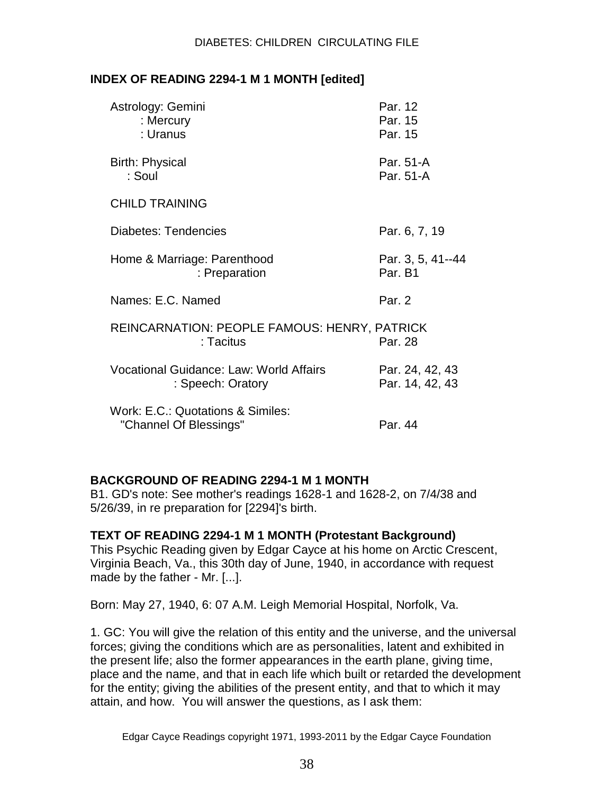## **INDEX OF READING 2294-1 M 1 MONTH [edited]**

| Astrology: Gemini<br>: Mercury<br>: Uranus                   | Par. 12<br>Par. 15<br>Par. 15      |
|--------------------------------------------------------------|------------------------------------|
| <b>Birth: Physical</b><br>: Soul                             | Par. 51-A<br>Par. 51-A             |
| <b>CHILD TRAINING</b>                                        |                                    |
| Diabetes: Tendencies                                         | Par. 6, 7, 19                      |
| Home & Marriage: Parenthood<br>: Preparation                 | Par. 3, 5, 41--44<br>Par. B1       |
| Names: E.C. Named                                            | Par. 2                             |
| REINCARNATION: PEOPLE FAMOUS: HENRY, PATRICK<br>: Tacitus    | Par. 28                            |
| Vocational Guidance: Law: World Affairs<br>: Speech: Oratory | Par. 24, 42, 43<br>Par. 14, 42, 43 |
| Work: E.C.: Quotations & Similes:<br>"Channel Of Blessings"  | Par. 44                            |

# **BACKGROUND OF READING 2294-1 M 1 MONTH**

B1. GD's note: See mother's readings 1628-1 and 1628-2, on 7/4/38 and 5/26/39, in re preparation for [2294]'s birth.

#### **TEXT OF READING 2294-1 M 1 MONTH (Protestant Background)**

This Psychic Reading given by Edgar Cayce at his home on Arctic Crescent, Virginia Beach, Va., this 30th day of June, 1940, in accordance with request made by the father - Mr. [...].

Born: May 27, 1940, 6: 07 A.M. Leigh Memorial Hospital, Norfolk, Va.

1. GC: You will give the relation of this entity and the universe, and the universal forces; giving the conditions which are as personalities, latent and exhibited in the present life; also the former appearances in the earth plane, giving time, place and the name, and that in each life which built or retarded the development for the entity; giving the abilities of the present entity, and that to which it may attain, and how. You will answer the questions, as I ask them: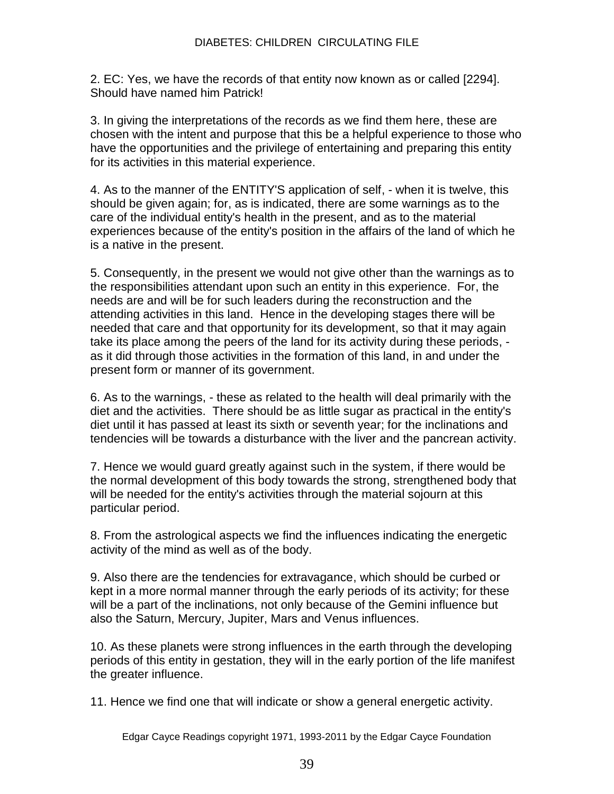2. EC: Yes, we have the records of that entity now known as or called [2294]. Should have named him Patrick!

3. In giving the interpretations of the records as we find them here, these are chosen with the intent and purpose that this be a helpful experience to those who have the opportunities and the privilege of entertaining and preparing this entity for its activities in this material experience.

4. As to the manner of the ENTITY'S application of self, - when it is twelve, this should be given again; for, as is indicated, there are some warnings as to the care of the individual entity's health in the present, and as to the material experiences because of the entity's position in the affairs of the land of which he is a native in the present.

5. Consequently, in the present we would not give other than the warnings as to the responsibilities attendant upon such an entity in this experience. For, the needs are and will be for such leaders during the reconstruction and the attending activities in this land. Hence in the developing stages there will be needed that care and that opportunity for its development, so that it may again take its place among the peers of the land for its activity during these periods, as it did through those activities in the formation of this land, in and under the present form or manner of its government.

6. As to the warnings, - these as related to the health will deal primarily with the diet and the activities. There should be as little sugar as practical in the entity's diet until it has passed at least its sixth or seventh year; for the inclinations and tendencies will be towards a disturbance with the liver and the pancrean activity.

7. Hence we would guard greatly against such in the system, if there would be the normal development of this body towards the strong, strengthened body that will be needed for the entity's activities through the material sojourn at this particular period.

8. From the astrological aspects we find the influences indicating the energetic activity of the mind as well as of the body.

9. Also there are the tendencies for extravagance, which should be curbed or kept in a more normal manner through the early periods of its activity; for these will be a part of the inclinations, not only because of the Gemini influence but also the Saturn, Mercury, Jupiter, Mars and Venus influences.

10. As these planets were strong influences in the earth through the developing periods of this entity in gestation, they will in the early portion of the life manifest the greater influence.

11. Hence we find one that will indicate or show a general energetic activity.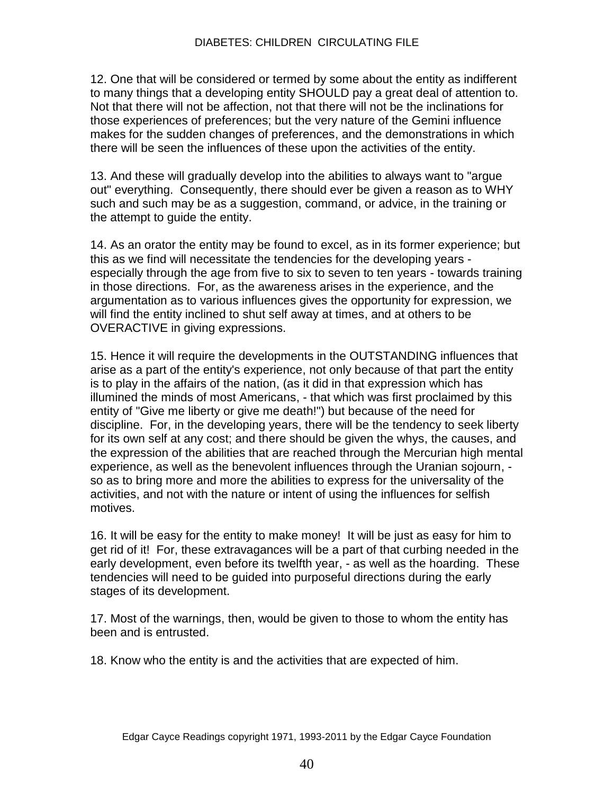12. One that will be considered or termed by some about the entity as indifferent to many things that a developing entity SHOULD pay a great deal of attention to. Not that there will not be affection, not that there will not be the inclinations for those experiences of preferences; but the very nature of the Gemini influence makes for the sudden changes of preferences, and the demonstrations in which there will be seen the influences of these upon the activities of the entity.

13. And these will gradually develop into the abilities to always want to "argue out" everything. Consequently, there should ever be given a reason as to WHY such and such may be as a suggestion, command, or advice, in the training or the attempt to guide the entity.

14. As an orator the entity may be found to excel, as in its former experience; but this as we find will necessitate the tendencies for the developing years especially through the age from five to six to seven to ten years - towards training in those directions. For, as the awareness arises in the experience, and the argumentation as to various influences gives the opportunity for expression, we will find the entity inclined to shut self away at times, and at others to be OVERACTIVE in giving expressions.

15. Hence it will require the developments in the OUTSTANDING influences that arise as a part of the entity's experience, not only because of that part the entity is to play in the affairs of the nation, (as it did in that expression which has illumined the minds of most Americans, - that which was first proclaimed by this entity of "Give me liberty or give me death!") but because of the need for discipline. For, in the developing years, there will be the tendency to seek liberty for its own self at any cost; and there should be given the whys, the causes, and the expression of the abilities that are reached through the Mercurian high mental experience, as well as the benevolent influences through the Uranian sojourn, so as to bring more and more the abilities to express for the universality of the activities, and not with the nature or intent of using the influences for selfish motives.

16. It will be easy for the entity to make money! It will be just as easy for him to get rid of it! For, these extravagances will be a part of that curbing needed in the early development, even before its twelfth year, - as well as the hoarding. These tendencies will need to be guided into purposeful directions during the early stages of its development.

17. Most of the warnings, then, would be given to those to whom the entity has been and is entrusted.

18. Know who the entity is and the activities that are expected of him.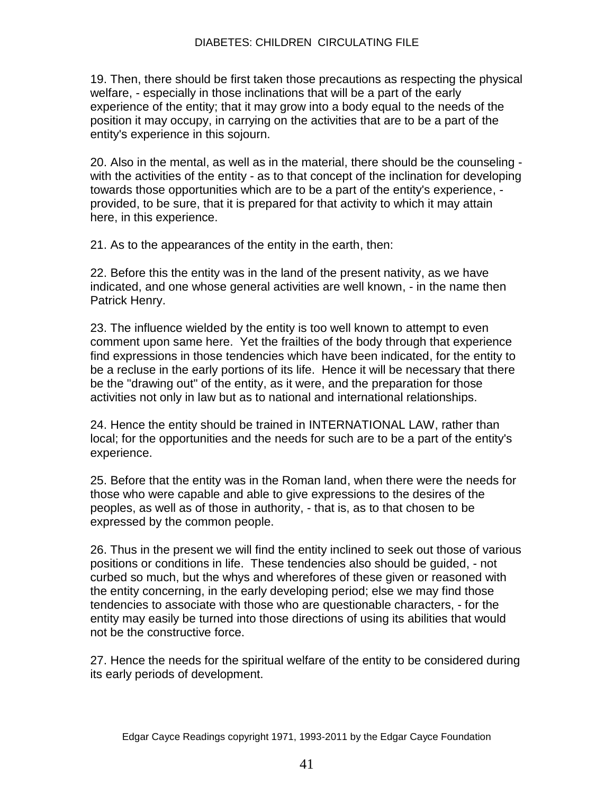19. Then, there should be first taken those precautions as respecting the physical welfare, - especially in those inclinations that will be a part of the early experience of the entity; that it may grow into a body equal to the needs of the position it may occupy, in carrying on the activities that are to be a part of the entity's experience in this sojourn.

20. Also in the mental, as well as in the material, there should be the counseling with the activities of the entity - as to that concept of the inclination for developing towards those opportunities which are to be a part of the entity's experience, provided, to be sure, that it is prepared for that activity to which it may attain here, in this experience.

21. As to the appearances of the entity in the earth, then:

22. Before this the entity was in the land of the present nativity, as we have indicated, and one whose general activities are well known, - in the name then Patrick Henry.

23. The influence wielded by the entity is too well known to attempt to even comment upon same here. Yet the frailties of the body through that experience find expressions in those tendencies which have been indicated, for the entity to be a recluse in the early portions of its life. Hence it will be necessary that there be the "drawing out" of the entity, as it were, and the preparation for those activities not only in law but as to national and international relationships.

24. Hence the entity should be trained in INTERNATIONAL LAW, rather than local; for the opportunities and the needs for such are to be a part of the entity's experience.

25. Before that the entity was in the Roman land, when there were the needs for those who were capable and able to give expressions to the desires of the peoples, as well as of those in authority, - that is, as to that chosen to be expressed by the common people.

26. Thus in the present we will find the entity inclined to seek out those of various positions or conditions in life. These tendencies also should be guided, - not curbed so much, but the whys and wherefores of these given or reasoned with the entity concerning, in the early developing period; else we may find those tendencies to associate with those who are questionable characters, - for the entity may easily be turned into those directions of using its abilities that would not be the constructive force.

27. Hence the needs for the spiritual welfare of the entity to be considered during its early periods of development.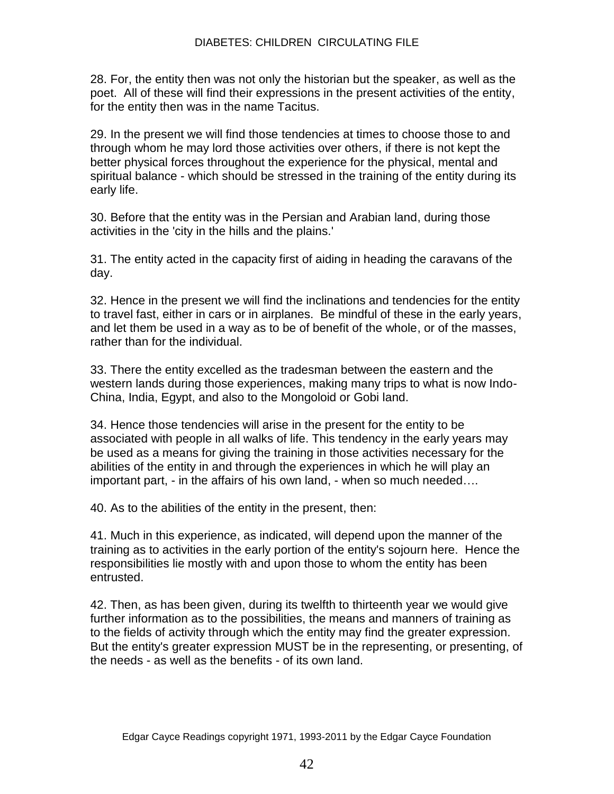28. For, the entity then was not only the historian but the speaker, as well as the poet. All of these will find their expressions in the present activities of the entity, for the entity then was in the name Tacitus.

29. In the present we will find those tendencies at times to choose those to and through whom he may lord those activities over others, if there is not kept the better physical forces throughout the experience for the physical, mental and spiritual balance - which should be stressed in the training of the entity during its early life.

30. Before that the entity was in the Persian and Arabian land, during those activities in the 'city in the hills and the plains.'

31. The entity acted in the capacity first of aiding in heading the caravans of the day.

32. Hence in the present we will find the inclinations and tendencies for the entity to travel fast, either in cars or in airplanes. Be mindful of these in the early years, and let them be used in a way as to be of benefit of the whole, or of the masses, rather than for the individual.

33. There the entity excelled as the tradesman between the eastern and the western lands during those experiences, making many trips to what is now Indo-China, India, Egypt, and also to the Mongoloid or Gobi land.

34. Hence those tendencies will arise in the present for the entity to be associated with people in all walks of life. This tendency in the early years may be used as a means for giving the training in those activities necessary for the abilities of the entity in and through the experiences in which he will play an important part, - in the affairs of his own land, - when so much needed….

40. As to the abilities of the entity in the present, then:

41. Much in this experience, as indicated, will depend upon the manner of the training as to activities in the early portion of the entity's sojourn here. Hence the responsibilities lie mostly with and upon those to whom the entity has been entrusted.

42. Then, as has been given, during its twelfth to thirteenth year we would give further information as to the possibilities, the means and manners of training as to the fields of activity through which the entity may find the greater expression. But the entity's greater expression MUST be in the representing, or presenting, of the needs - as well as the benefits - of its own land.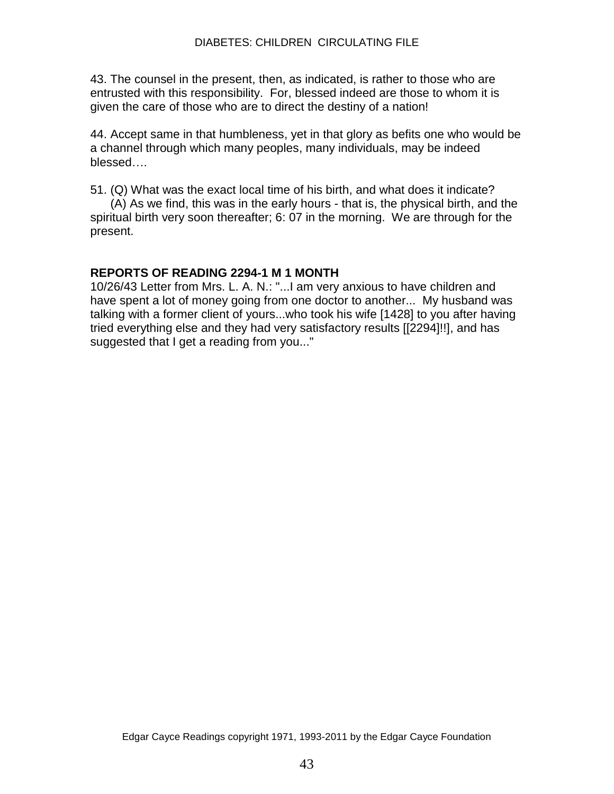43. The counsel in the present, then, as indicated, is rather to those who are entrusted with this responsibility. For, blessed indeed are those to whom it is given the care of those who are to direct the destiny of a nation!

44. Accept same in that humbleness, yet in that glory as befits one who would be a channel through which many peoples, many individuals, may be indeed blessed….

51. (Q) What was the exact local time of his birth, and what does it indicate?

 (A) As we find, this was in the early hours - that is, the physical birth, and the spiritual birth very soon thereafter; 6: 07 in the morning. We are through for the present.

# **REPORTS OF READING 2294-1 M 1 MONTH**

10/26/43 Letter from Mrs. L. A. N.: "...I am very anxious to have children and have spent a lot of money going from one doctor to another... My husband was talking with a former client of yours...who took his wife [1428] to you after having tried everything else and they had very satisfactory results [[2294]!!], and has suggested that I get a reading from you..."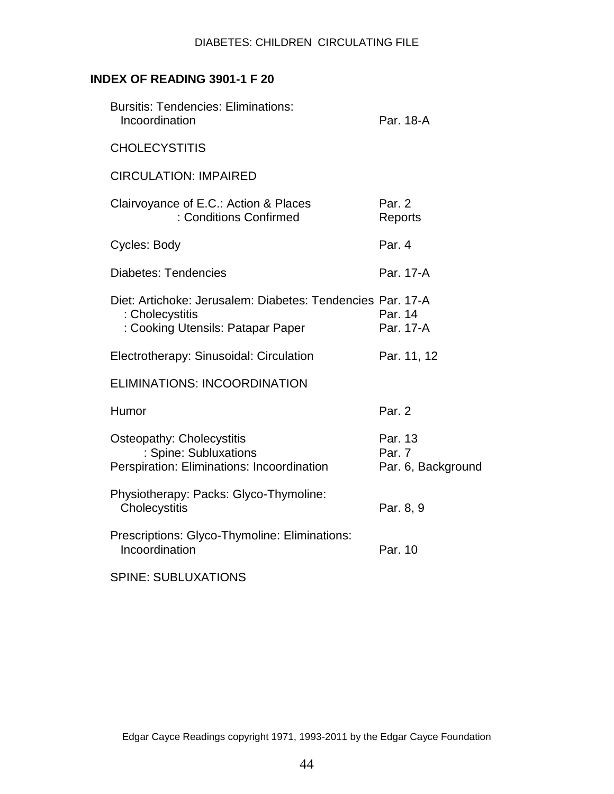# **INDEX OF READING 3901-1 F 20**

| <b>Bursitis: Tendencies: Eliminations:</b><br>Incoordination                                                       | Par. 18-A                               |
|--------------------------------------------------------------------------------------------------------------------|-----------------------------------------|
| <b>CHOLECYSTITIS</b>                                                                                               |                                         |
| <b>CIRCULATION: IMPAIRED</b>                                                                                       |                                         |
| Clairvoyance of E.C.: Action & Places<br>: Conditions Confirmed                                                    | Par. 2<br>Reports                       |
| Cycles: Body                                                                                                       | Par. 4                                  |
| <b>Diabetes: Tendencies</b>                                                                                        | Par. 17-A                               |
| Diet: Artichoke: Jerusalem: Diabetes: Tendencies Par. 17-A<br>: Cholecystitis<br>: Cooking Utensils: Patapar Paper | Par. 14<br>Par. 17-A                    |
| Electrotherapy: Sinusoidal: Circulation                                                                            | Par. 11, 12                             |
| <b>ELIMINATIONS: INCOORDINATION</b>                                                                                |                                         |
| Humor                                                                                                              | Par. 2                                  |
| <b>Osteopathy: Cholecystitis</b><br>: Spine: Subluxations<br>Perspiration: Eliminations: Incoordination            | Par. 13<br>Par. 7<br>Par. 6, Background |
| Physiotherapy: Packs: Glyco-Thymoline:<br>Cholecystitis                                                            | Par. 8, 9                               |
| Prescriptions: Glyco-Thymoline: Eliminations:<br>Incoordination                                                    | Par. 10                                 |
| <b>SPINE: SUBLUXATIONS</b>                                                                                         |                                         |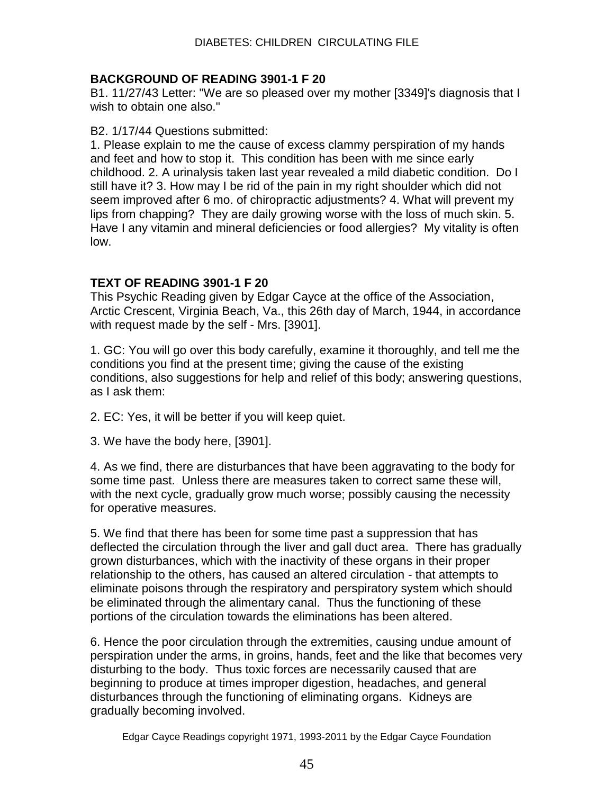## **BACKGROUND OF READING 3901-1 F 20**

B1. 11/27/43 Letter: "We are so pleased over my mother [3349]'s diagnosis that I wish to obtain one also."

#### B2. 1/17/44 Questions submitted:

1. Please explain to me the cause of excess clammy perspiration of my hands and feet and how to stop it. This condition has been with me since early childhood. 2. A urinalysis taken last year revealed a mild diabetic condition. Do I still have it? 3. How may I be rid of the pain in my right shoulder which did not seem improved after 6 mo. of chiropractic adjustments? 4. What will prevent my lips from chapping? They are daily growing worse with the loss of much skin. 5. Have I any vitamin and mineral deficiencies or food allergies? My vitality is often low.

## **TEXT OF READING 3901-1 F 20**

This Psychic Reading given by Edgar Cayce at the office of the Association, Arctic Crescent, Virginia Beach, Va., this 26th day of March, 1944, in accordance with request made by the self - Mrs. [3901].

1. GC: You will go over this body carefully, examine it thoroughly, and tell me the conditions you find at the present time; giving the cause of the existing conditions, also suggestions for help and relief of this body; answering questions, as I ask them:

2. EC: Yes, it will be better if you will keep quiet.

3. We have the body here, [3901].

4. As we find, there are disturbances that have been aggravating to the body for some time past. Unless there are measures taken to correct same these will, with the next cycle, gradually grow much worse; possibly causing the necessity for operative measures.

5. We find that there has been for some time past a suppression that has deflected the circulation through the liver and gall duct area. There has gradually grown disturbances, which with the inactivity of these organs in their proper relationship to the others, has caused an altered circulation - that attempts to eliminate poisons through the respiratory and perspiratory system which should be eliminated through the alimentary canal. Thus the functioning of these portions of the circulation towards the eliminations has been altered.

6. Hence the poor circulation through the extremities, causing undue amount of perspiration under the arms, in groins, hands, feet and the like that becomes very disturbing to the body. Thus toxic forces are necessarily caused that are beginning to produce at times improper digestion, headaches, and general disturbances through the functioning of eliminating organs. Kidneys are gradually becoming involved.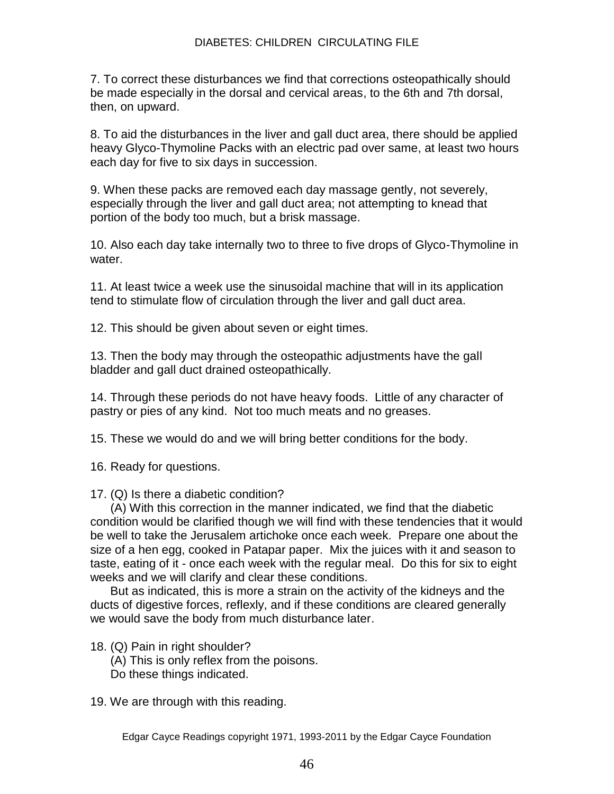7. To correct these disturbances we find that corrections osteopathically should be made especially in the dorsal and cervical areas, to the 6th and 7th dorsal, then, on upward.

8. To aid the disturbances in the liver and gall duct area, there should be applied heavy Glyco-Thymoline Packs with an electric pad over same, at least two hours each day for five to six days in succession.

9. When these packs are removed each day massage gently, not severely, especially through the liver and gall duct area; not attempting to knead that portion of the body too much, but a brisk massage.

10. Also each day take internally two to three to five drops of Glyco-Thymoline in water.

11. At least twice a week use the sinusoidal machine that will in its application tend to stimulate flow of circulation through the liver and gall duct area.

12. This should be given about seven or eight times.

13. Then the body may through the osteopathic adjustments have the gall bladder and gall duct drained osteopathically.

14. Through these periods do not have heavy foods. Little of any character of pastry or pies of any kind. Not too much meats and no greases.

15. These we would do and we will bring better conditions for the body.

16. Ready for questions.

17. (Q) Is there a diabetic condition?

 (A) With this correction in the manner indicated, we find that the diabetic condition would be clarified though we will find with these tendencies that it would be well to take the Jerusalem artichoke once each week. Prepare one about the size of a hen egg, cooked in Patapar paper. Mix the juices with it and season to taste, eating of it - once each week with the regular meal. Do this for six to eight weeks and we will clarify and clear these conditions.

 But as indicated, this is more a strain on the activity of the kidneys and the ducts of digestive forces, reflexly, and if these conditions are cleared generally we would save the body from much disturbance later.

- 18. (Q) Pain in right shoulder?
	- (A) This is only reflex from the poisons.
	- Do these things indicated.

19. We are through with this reading.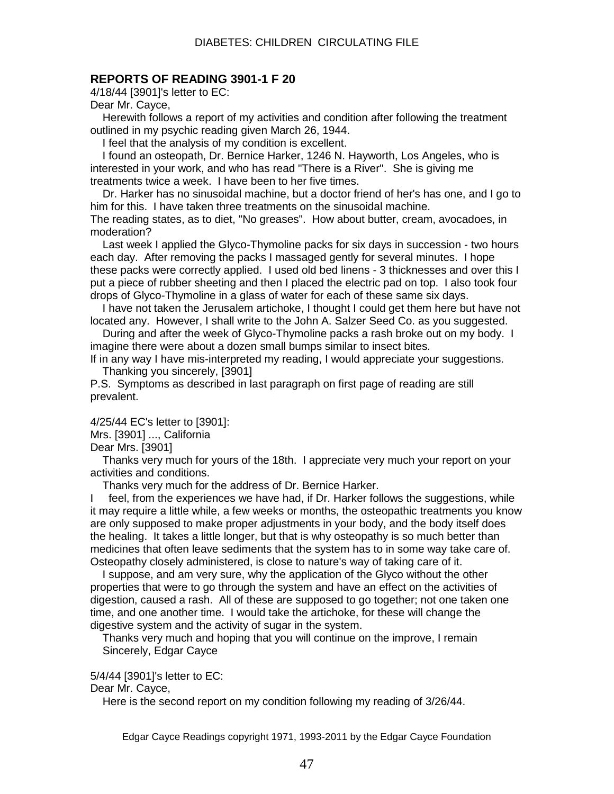#### **REPORTS OF READING 3901-1 F 20**

4/18/44 [3901]'s letter to EC:

Dear Mr. Cayce,

 Herewith follows a report of my activities and condition after following the treatment outlined in my psychic reading given March 26, 1944.

I feel that the analysis of my condition is excellent.

 I found an osteopath, Dr. Bernice Harker, 1246 N. Hayworth, Los Angeles, who is interested in your work, and who has read "There is a River". She is giving me treatments twice a week. I have been to her five times.

 Dr. Harker has no sinusoidal machine, but a doctor friend of her's has one, and I go to him for this. I have taken three treatments on the sinusoidal machine.

The reading states, as to diet, "No greases". How about butter, cream, avocadoes, in moderation?

 Last week I applied the Glyco-Thymoline packs for six days in succession - two hours each day. After removing the packs I massaged gently for several minutes. I hope these packs were correctly applied. I used old bed linens - 3 thicknesses and over this I put a piece of rubber sheeting and then I placed the electric pad on top. I also took four drops of Glyco-Thymoline in a glass of water for each of these same six days.

 I have not taken the Jerusalem artichoke, I thought I could get them here but have not located any. However, I shall write to the John A. Salzer Seed Co. as you suggested.

 During and after the week of Glyco-Thymoline packs a rash broke out on my body. I imagine there were about a dozen small bumps similar to insect bites.

If in any way I have mis-interpreted my reading, I would appreciate your suggestions. Thanking you sincerely, [3901]

P.S. Symptoms as described in last paragraph on first page of reading are still prevalent.

4/25/44 EC's letter to [3901]:

Mrs. [3901] ..., California

Dear Mrs. [3901]

 Thanks very much for yours of the 18th. I appreciate very much your report on your activities and conditions.

Thanks very much for the address of Dr. Bernice Harker.

I feel, from the experiences we have had, if Dr. Harker follows the suggestions, while it may require a little while, a few weeks or months, the osteopathic treatments you know are only supposed to make proper adjustments in your body, and the body itself does the healing. It takes a little longer, but that is why osteopathy is so much better than medicines that often leave sediments that the system has to in some way take care of. Osteopathy closely administered, is close to nature's way of taking care of it.

 I suppose, and am very sure, why the application of the Glyco without the other properties that were to go through the system and have an effect on the activities of digestion, caused a rash. All of these are supposed to go together; not one taken one time, and one another time. I would take the artichoke, for these will change the digestive system and the activity of sugar in the system.

 Thanks very much and hoping that you will continue on the improve, I remain Sincerely, Edgar Cayce

5/4/44 [3901]'s letter to EC:

Dear Mr. Cayce,

Here is the second report on my condition following my reading of 3/26/44.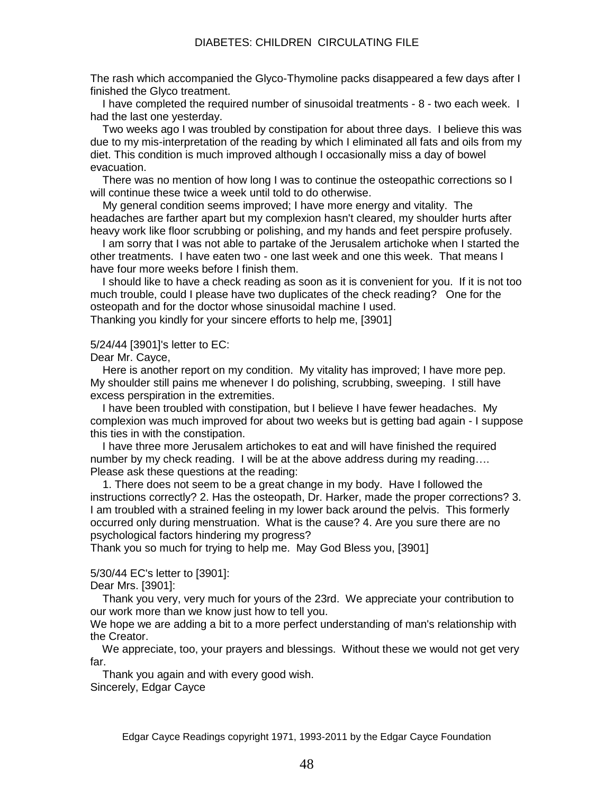The rash which accompanied the Glyco-Thymoline packs disappeared a few days after I finished the Glyco treatment.

 I have completed the required number of sinusoidal treatments - 8 - two each week. I had the last one yesterday.

 Two weeks ago I was troubled by constipation for about three days. I believe this was due to my mis-interpretation of the reading by which I eliminated all fats and oils from my diet. This condition is much improved although I occasionally miss a day of bowel evacuation.

 There was no mention of how long I was to continue the osteopathic corrections so I will continue these twice a week until told to do otherwise.

 My general condition seems improved; I have more energy and vitality. The headaches are farther apart but my complexion hasn't cleared, my shoulder hurts after heavy work like floor scrubbing or polishing, and my hands and feet perspire profusely.

 I am sorry that I was not able to partake of the Jerusalem artichoke when I started the other treatments. I have eaten two - one last week and one this week. That means I have four more weeks before I finish them.

 I should like to have a check reading as soon as it is convenient for you. If it is not too much trouble, could I please have two duplicates of the check reading? One for the osteopath and for the doctor whose sinusoidal machine I used.

Thanking you kindly for your sincere efforts to help me, [3901]

#### 5/24/44 [3901]'s letter to EC:

Dear Mr. Cayce,

 Here is another report on my condition. My vitality has improved; I have more pep. My shoulder still pains me whenever I do polishing, scrubbing, sweeping. I still have excess perspiration in the extremities.

 I have been troubled with constipation, but I believe I have fewer headaches. My complexion was much improved for about two weeks but is getting bad again - I suppose this ties in with the constipation.

 I have three more Jerusalem artichokes to eat and will have finished the required number by my check reading. I will be at the above address during my reading…. Please ask these questions at the reading:

 1. There does not seem to be a great change in my body. Have I followed the instructions correctly? 2. Has the osteopath, Dr. Harker, made the proper corrections? 3. I am troubled with a strained feeling in my lower back around the pelvis. This formerly occurred only during menstruation. What is the cause? 4. Are you sure there are no psychological factors hindering my progress?

Thank you so much for trying to help me. May God Bless you, [3901]

#### 5/30/44 EC's letter to [3901]:

Dear Mrs. [3901]:

 Thank you very, very much for yours of the 23rd. We appreciate your contribution to our work more than we know just how to tell you.

We hope we are adding a bit to a more perfect understanding of man's relationship with the Creator.

 We appreciate, too, your prayers and blessings. Without these we would not get very far.

 Thank you again and with every good wish. Sincerely, Edgar Cayce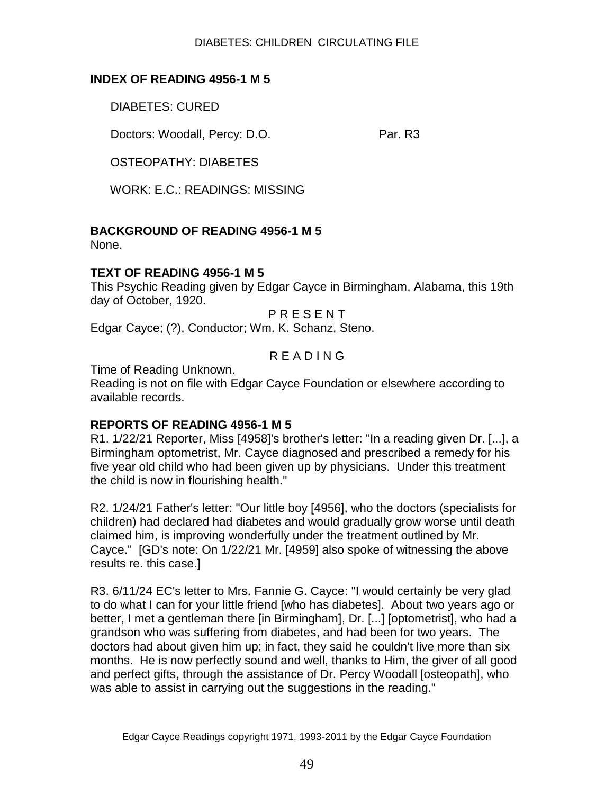#### DIABETES: CHILDREN CIRCULATING FILE

## **INDEX OF READING 4956-1 M 5**

DIABETES: CURED

Doctors: Woodall, Percy: D.O. Par. R3

OSTEOPATHY: DIABETES

WORK: E.C.: READINGS: MISSING

# **BACKGROUND OF READING 4956-1 M 5**

None.

## **TEXT OF READING 4956-1 M 5**

This Psychic Reading given by Edgar Cayce in Birmingham, Alabama, this 19th day of October, 1920.

**PRESENT** 

Edgar Cayce; (?), Conductor; Wm. K. Schanz, Steno.

# R E A D I N G

Time of Reading Unknown.

Reading is not on file with Edgar Cayce Foundation or elsewhere according to available records.

# **REPORTS OF READING 4956-1 M 5**

R1. 1/22/21 Reporter, Miss [4958]'s brother's letter: "In a reading given Dr. [...], a Birmingham optometrist, Mr. Cayce diagnosed and prescribed a remedy for his five year old child who had been given up by physicians. Under this treatment the child is now in flourishing health."

R2. 1/24/21 Father's letter: "Our little boy [4956], who the doctors (specialists for children) had declared had diabetes and would gradually grow worse until death claimed him, is improving wonderfully under the treatment outlined by Mr. Cayce." [GD's note: On 1/22/21 Mr. [4959] also spoke of witnessing the above results re. this case.]

R3. 6/11/24 EC's letter to Mrs. Fannie G. Cayce: "I would certainly be very glad to do what I can for your little friend [who has diabetes]. About two years ago or better, I met a gentleman there [in Birmingham], Dr. [...] [optometrist], who had a grandson who was suffering from diabetes, and had been for two years. The doctors had about given him up; in fact, they said he couldn't live more than six months. He is now perfectly sound and well, thanks to Him, the giver of all good and perfect gifts, through the assistance of Dr. Percy Woodall [osteopath], who was able to assist in carrying out the suggestions in the reading."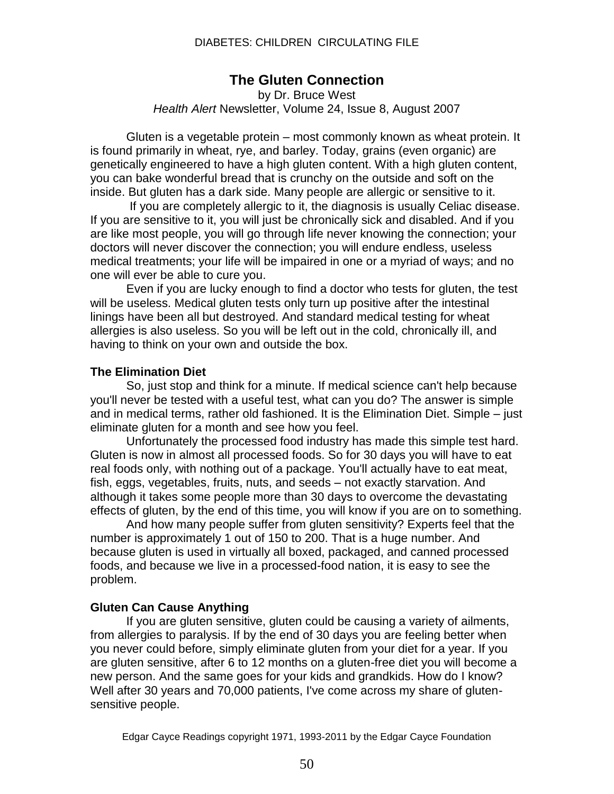# **The Gluten Connection**

by Dr. Bruce West *Health Alert* Newsletter, Volume 24, Issue 8, August 2007

Gluten is a vegetable protein – most commonly known as wheat protein. It is found primarily in wheat, rye, and barley. Today, grains (even organic) are genetically engineered to have a high gluten content. With a high gluten content, you can bake wonderful bread that is crunchy on the outside and soft on the inside. But gluten has a dark side. Many people are allergic or sensitive to it.

If you are completely allergic to it, the diagnosis is usually Celiac disease. If you are sensitive to it, you will just be chronically sick and disabled. And if you are like most people, you will go through life never knowing the connection; your doctors will never discover the connection; you will endure endless, useless medical treatments; your life will be impaired in one or a myriad of ways; and no one will ever be able to cure you.

Even if you are lucky enough to find a doctor who tests for gluten, the test will be useless. Medical gluten tests only turn up positive after the intestinal linings have been all but destroyed. And standard medical testing for wheat allergies is also useless. So you will be left out in the cold, chronically ill, and having to think on your own and outside the box.

#### **The Elimination Diet**

So, just stop and think for a minute. If medical science can't help because you'll never be tested with a useful test, what can you do? The answer is simple and in medical terms, rather old fashioned. It is the Elimination Diet. Simple – just eliminate gluten for a month and see how you feel.

Unfortunately the processed food industry has made this simple test hard. Gluten is now in almost all processed foods. So for 30 days you will have to eat real foods only, with nothing out of a package. You'll actually have to eat meat, fish, eggs, vegetables, fruits, nuts, and seeds – not exactly starvation. And although it takes some people more than 30 days to overcome the devastating effects of gluten, by the end of this time, you will know if you are on to something.

And how many people suffer from gluten sensitivity? Experts feel that the number is approximately 1 out of 150 to 200. That is a huge number. And because gluten is used in virtually all boxed, packaged, and canned processed foods, and because we live in a processed-food nation, it is easy to see the problem.

#### **Gluten Can Cause Anything**

If you are gluten sensitive, gluten could be causing a variety of ailments, from allergies to paralysis. If by the end of 30 days you are feeling better when you never could before, simply eliminate gluten from your diet for a year. If you are gluten sensitive, after 6 to 12 months on a gluten-free diet you will become a new person. And the same goes for your kids and grandkids. How do I know? Well after 30 years and 70,000 patients, I've come across my share of glutensensitive people.